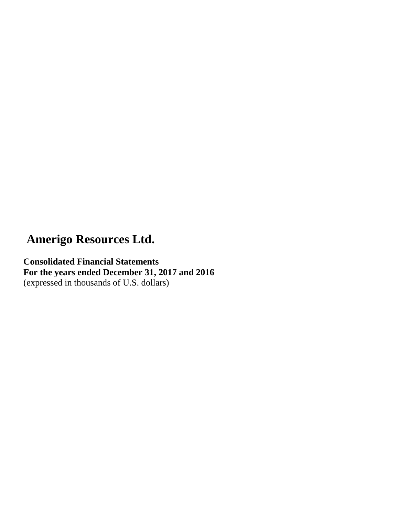**Consolidated Financial Statements For the years ended December 31, 2017 and 2016**  (expressed in thousands of U.S. dollars)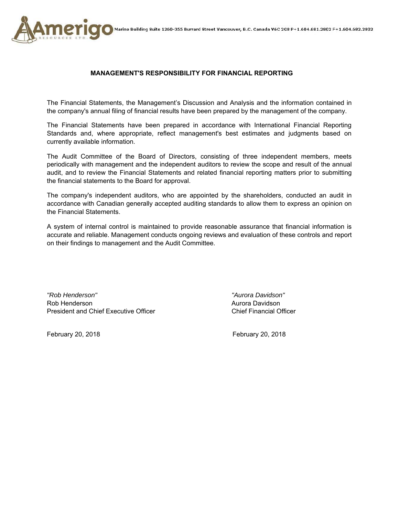



### **MANAGEMENT'S RESPONSIBILITY FOR FINANCIAL REPORTING**

The Financial Statements, the Management's Discussion and Analysis and the information contained in the company's annual filing of financial results have been prepared by the management of the company.

The Financial Statements have been prepared in accordance with International Financial Reporting Standards and, where appropriate, reflect management's best estimates and judgments based on currently available information.

The Audit Committee of the Board of Directors, consisting of three independent members, meets periodically with management and the independent auditors to review the scope and result of the annual audit, and to review the Financial Statements and related financial reporting matters prior to submitting the financial statements to the Board for approval.

The company's independent auditors, who are appointed by the shareholders, conducted an audit in accordance with Canadian generally accepted auditing standards to allow them to express an opinion on the Financial Statements.

A system of internal control is maintained to provide reasonable assurance that financial information is accurate and reliable. Management conducts ongoing reviews and evaluation of these controls and report on their findings to management and the Audit Committee.

*"Rob Henderson" "Aurora Davidson"*  Rob Henderson **Aurora Davidson** Aurora Davidson President and Chief Executive Officer Chief Financial Officer

February 20, 2018 February 20, 2018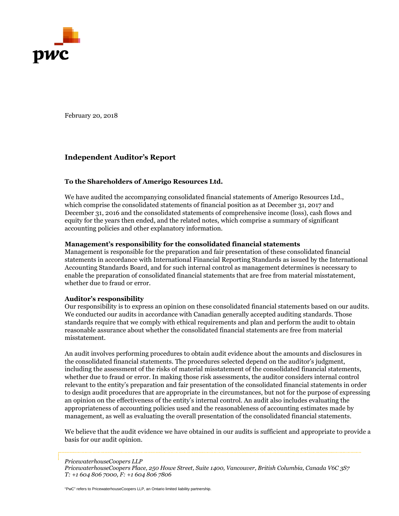

February 20, 2018

### **Independent Auditor's Report**

### **To the Shareholders of Amerigo Resources Ltd.**

We have audited the accompanying consolidated financial statements of Amerigo Resources Ltd., which comprise the consolidated statements of financial position as at December 31, 2017 and December 31, 2016 and the consolidated statements of comprehensive income (loss), cash flows and equity for the years then ended, and the related notes, which comprise a summary of significant accounting policies and other explanatory information.

### **Management's responsibility for the consolidated financial statements**

Management is responsible for the preparation and fair presentation of these consolidated financial statements in accordance with International Financial Reporting Standards as issued by the International Accounting Standards Board, and for such internal control as management determines is necessary to enable the preparation of consolidated financial statements that are free from material misstatement, whether due to fraud or error.

#### **Auditor's responsibility**

Our responsibility is to express an opinion on these consolidated financial statements based on our audits. We conducted our audits in accordance with Canadian generally accepted auditing standards. Those standards require that we comply with ethical requirements and plan and perform the audit to obtain reasonable assurance about whether the consolidated financial statements are free from material misstatement.

An audit involves performing procedures to obtain audit evidence about the amounts and disclosures in the consolidated financial statements. The procedures selected depend on the auditor's judgment, including the assessment of the risks of material misstatement of the consolidated financial statements, whether due to fraud or error. In making those risk assessments, the auditor considers internal control relevant to the entity's preparation and fair presentation of the consolidated financial statements in order to design audit procedures that are appropriate in the circumstances, but not for the purpose of expressing an opinion on the effectiveness of the entity's internal control. An audit also includes evaluating the appropriateness of accounting policies used and the reasonableness of accounting estimates made by management, as well as evaluating the overall presentation of the consolidated financial statements.

We believe that the audit evidence we have obtained in our audits is sufficient and appropriate to provide a basis for our audit opinion.

*PricewaterhouseCoopers LLP*

"PwC" refers to PricewaterhouseCoopers LLP, an Ontario limited liability partnership.

*PricewaterhouseCoopers Place, 250 Howe Street, Suite 1400, Vancouver, British Columbia, Canada V6C 3S7 T: +1 604 806 7000, F: +1 604 806 7806*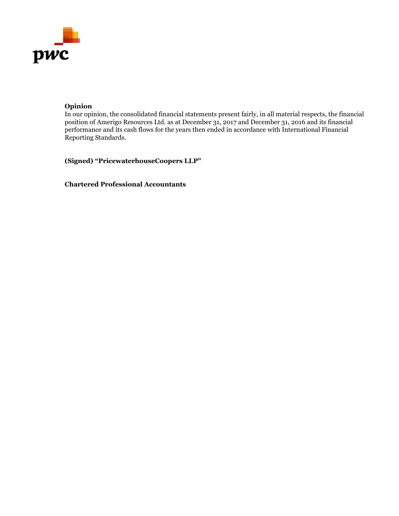

### **Opinion**

In our opinion, the consolidated financial statements present fairly, in all material respects, the financial position of Amerigo Resources Ltd. as at December 31, 2017 and December 31, 2016 and its financial performance and its cash flows for the years then ended in accordance with International Financial Reporting Standards.

**(Signed) "PricewaterhouseCoopers LLP"** 

**Chartered Professional Accountants**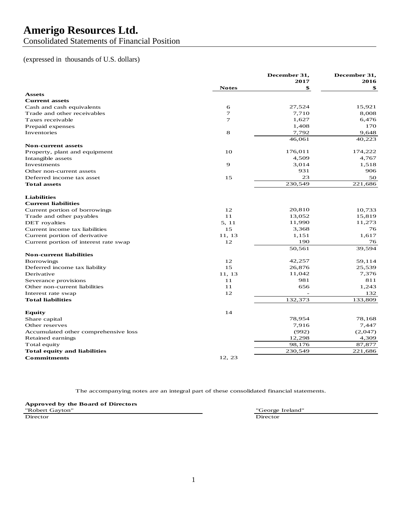Consolidated Statements of Financial Position

### (expressed in thousands of U.S. dollars)

|                                        |              | December 31, | December 31, |
|----------------------------------------|--------------|--------------|--------------|
|                                        |              | 2017         | 2016         |
|                                        | <b>Notes</b> | \$           | \$           |
| <b>Assets</b><br><b>Current assets</b> |              |              |              |
|                                        | 6            | 27,524       | 15,921       |
| Cash and cash equivalents              | 7            | 7,710        | 8,008        |
| Trade and other receivables            | $\tau$       | 1,627        | 6,476        |
| Taxes receivable                       |              |              | 170          |
| Prepaid expenses                       |              | 1,408        |              |
| Inventories                            | 8            | 7,792        | 9,648        |
|                                        |              | 46,061       | 40,223       |
| <b>Non-current assets</b>              |              | 176,011      | 174,222      |
| Property, plant and equipment          | 10           | 4,509        | 4,767        |
| Intangible assets                      |              |              |              |
| Investments                            | 9            | 3,014        | 1,518        |
| Other non-current assets               |              | 931          | 906          |
| Deferred income tax asset              | 15           | 23           | 50           |
| <b>Total assets</b>                    |              | 230,549      | 221,686      |
| <b>Liabilities</b>                     |              |              |              |
| <b>Current liabilities</b>             |              |              |              |
| Current portion of borrowings          | 12           | 20,810       | 10,733       |
| Trade and other payables               | 11           | 13,052       | 15,819       |
| DET royalties                          | 5, 11        | 11,990       | 11,273       |
| Current income tax liabilities         | 15           | 3,368        | 76           |
| Current portion of derivative          | 11, 13       | 1,151        | 1,617        |
| Current portion of interest rate swap  | 12           | 190          | 76           |
|                                        |              | 50,561       | 39,594       |
| <b>Non-current liabilities</b>         |              |              |              |
| <b>Borrowings</b>                      | 12           | 42,257       | 59,114       |
| Deferred income tax liability          | 15           | 26,876       | 25,539       |
| Derivative                             | 11, 13       | 11,042       | 7,376        |
| Severance provisions                   | 11           | 981          | 811          |
| Other non-current liabilities          | 11           | 656          | 1,243        |
| Interest rate swap                     | 12           |              | 132          |
| <b>Total liabilities</b>               |              | 132,373      | 133,809      |
| <b>Equity</b>                          | 14           |              |              |
| Share capital                          |              | 78,954       | 78,168       |
| Other reserves                         |              | 7,916        | 7,447        |
| Accumulated other comprehensive loss   |              | (992)        | (2,047)      |
| Retained earnings                      |              | 12,298       | 4,309        |
| Total equity                           |              | 98,176       | 87,877       |
| <b>Total equity and liabilities</b>    |              | 230,549      | 221,686      |
| <b>Commitments</b>                     | 12.23        |              |              |

The accompanying notes are an integral part of these consolidated financial statements.

**Approved by the Board of Directors** "Robert Gayton" "George Ireland" Director Director Director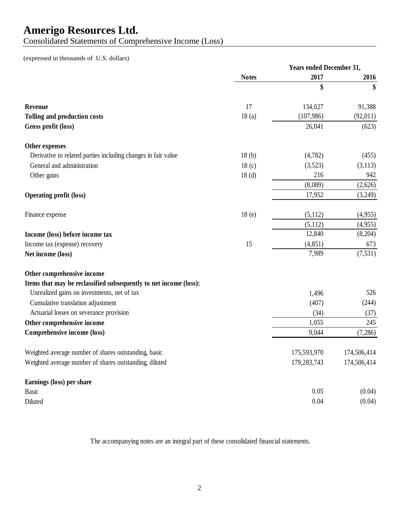Consolidated Statements of Comprehensive Income (Loss)

## (expressed in thousands of U.S. dollars)

|                                                                   | <b>Years ended December 31,</b> |               |             |
|-------------------------------------------------------------------|---------------------------------|---------------|-------------|
|                                                                   | <b>Notes</b>                    | 2017          | 2016        |
|                                                                   |                                 | \$            | \$          |
| <b>Revenue</b>                                                    | 17                              | 134,027       | 91,388      |
| <b>Tolling and production costs</b>                               | 18(a)                           | (107, 986)    | (92,011)    |
| Gross profit (loss)                                               |                                 | 26,041        | (623)       |
| Other expenses                                                    |                                 |               |             |
| Derivative to related parties including changes in fair value     | 18(b)                           | (4,782)       | (455)       |
| General and administration                                        | 18 <sub>(c)</sub>               | (3,523)       | (3,113)     |
| Other gains                                                       | 18 <sub>(d)</sub>               | 216           | 942         |
|                                                                   |                                 | (8,089)       | (2,626)     |
| <b>Operating profit (loss)</b>                                    |                                 | 17,952        | (3,249)     |
| Finance expense                                                   | 18 <sub>(e)</sub>               | (5,112)       | (4,955)     |
|                                                                   |                                 | (5,112)       | (4,955)     |
| Income (loss) before income tax                                   |                                 | 12,840        | (8,204)     |
| Income tax (expense) recovery                                     | 15                              | (4, 851)      | 673         |
| Net income (loss)                                                 |                                 | 7,989         | (7, 531)    |
| Other comprehensive income                                        |                                 |               |             |
| Items that may be reclassified subsequently to net income (loss): |                                 |               |             |
| Unrealized gains on investments, net of tax                       |                                 | 1,496         | 526         |
| Cumulative translation adjustment                                 |                                 | (407)         | (244)       |
| Actuarial losses on severance provision                           |                                 | (34)          | (37)        |
| Other comprehensive income                                        |                                 | 1,055         | 245         |
| Comprehensive income (loss)                                       |                                 | 9,044         | (7,286)     |
| Weighted average number of shares outstanding, basic              |                                 | 175,593,970   | 174,506,414 |
| Weighted average number of shares outstanding, diluted            |                                 | 179, 283, 743 | 174,506,414 |
| Earnings (loss) per share                                         |                                 |               |             |
| <b>Basic</b>                                                      |                                 | 0.05          | (0.04)      |
| Diluted                                                           |                                 | 0.04          | (0.04)      |

The accompanying notes are an integral part of these consolidated financial statements.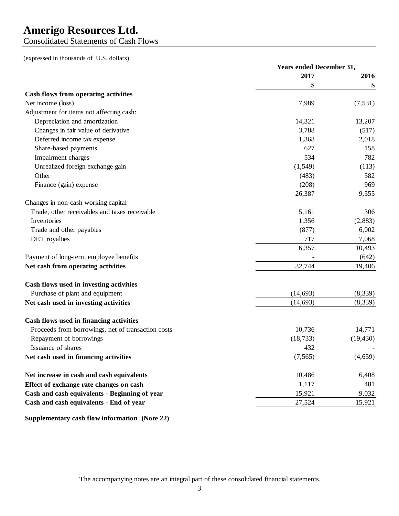Consolidated Statements of Cash Flows

(expressed in thousands of U.S. dollars)

|                                                    | <b>Years ended December 31,</b> |           |
|----------------------------------------------------|---------------------------------|-----------|
|                                                    | 2017                            | 2016      |
|                                                    | \$                              | \$        |
| Cash flows from operating activities               |                                 |           |
| Net income (loss)                                  | 7,989                           | (7, 531)  |
| Adjustment for items not affecting cash:           |                                 |           |
| Depreciation and amortization                      | 14,321                          | 13,207    |
| Changes in fair value of derivative                | 3,788                           | (517)     |
| Deferred income tax expense                        | 1,368                           | 2,018     |
| Share-based payments                               | 627                             | 158       |
| Impairment charges                                 | 534                             | 782       |
| Unrealized foreign exchange gain                   | (1, 549)                        | (113)     |
| Other                                              | (483)                           | 582       |
| Finance (gain) expense                             | (208)                           | 969       |
|                                                    | 26,387                          | 9,555     |
| Changes in non-cash working capital                |                                 |           |
| Trade, other receivables and taxes receivable      | 5,161                           | 306       |
| Inventories                                        | 1,356                           | (2,883)   |
| Trade and other payables                           | (877)                           | 6,002     |
| <b>DET</b> royalties                               | 717                             | 7,068     |
|                                                    | 6,357                           | 10,493    |
| Payment of long-term employee benefits             |                                 | (642)     |
| Net cash from operating activities                 | 32,744                          | 19,406    |
| Cash flows used in investing activities            |                                 |           |
| Purchase of plant and equipment                    | (14, 693)                       | (8,339)   |
| Net cash used in investing activities              | (14, 693)                       | (8, 339)  |
|                                                    |                                 |           |
| Cash flows used in financing activities            |                                 |           |
| Proceeds from borrowings, net of transaction costs | 10,736                          | 14,771    |
| Repayment of borrowings                            | (18, 733)                       | (19, 430) |
| Issuance of shares                                 | 432                             |           |
| Net cash used in financing activities              | (7,565)                         | (4,659)   |
| Net increase in cash and cash equivalents          | 10,486                          | 6,408     |
| Effect of exchange rate changes on cash            | 1,117                           | 481       |
| Cash and cash equivalents - Beginning of year      | 15,921                          | 9,032     |
| Cash and cash equivalents - End of year            | 27,524                          | 15,921    |

**Supplementary cash flow information (Note 22)**

The accompanying notes are an integral part of these consolidated financial statements.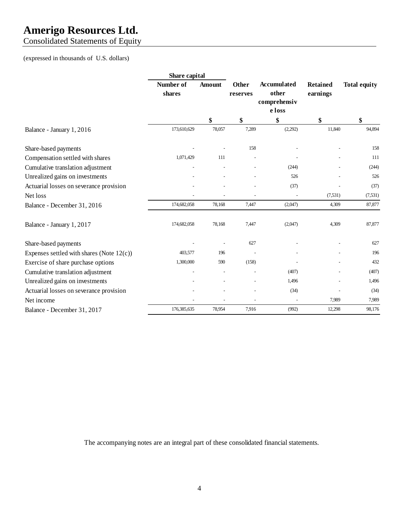Consolidated Statements of Equity

### (expressed in thousands of U.S. dollars)

|                                              | Share capital       |                |                          |                                             |                             |                     |
|----------------------------------------------|---------------------|----------------|--------------------------|---------------------------------------------|-----------------------------|---------------------|
|                                              | Number of<br>shares | <b>Amount</b>  | <b>Other</b><br>reserves | <b>Accumulated</b><br>other<br>comprehensiv | <b>Retained</b><br>earnings | <b>Total equity</b> |
|                                              |                     |                |                          | e loss                                      |                             |                     |
|                                              |                     | \$             | \$                       | \$                                          | \$                          | \$                  |
| Balance - January 1, 2016                    | 173,610,629         | 78,057         | 7,289                    | (2,292)                                     | 11,840                      | 94,894              |
| Share-based payments                         |                     |                | 158                      |                                             |                             | 158                 |
| Compensation settled with shares             | 1,071,429           | 111            | $\overline{a}$           |                                             |                             | 111                 |
| Cumulative translation adjustment            |                     |                |                          | (244)                                       |                             | (244)               |
| Unrealized gains on investments              |                     |                |                          | 526                                         |                             | 526                 |
| Actuarial losses on severance provision      |                     |                |                          | (37)                                        |                             | (37)                |
| Net loss                                     |                     |                |                          |                                             | (7, 531)                    | (7, 531)            |
| Balance - December 31, 2016                  | 174,682,058         | 78,168         | 7,447                    | (2,047)                                     | 4,309                       | 87,877              |
| Balance - January 1, 2017                    | 174,682,058         | 78,168         | 7,447                    | (2,047)                                     | 4,309                       | 87,877              |
| Share-based payments                         |                     |                | 627                      |                                             |                             | 627                 |
| Expenses settled with shares (Note $12(c)$ ) | 403,577             | 196            |                          |                                             |                             | 196                 |
| Exercise of share purchase options           | 1,300,000           | 590            | (158)                    |                                             |                             | 432                 |
| Cumulative translation adjustment            |                     | $\overline{a}$ |                          | (407)                                       |                             | (407)               |
| Unrealized gains on investments              |                     | $\overline{a}$ | $\overline{a}$           | 1,496                                       |                             | 1,496               |
| Actuarial losses on severance provision      |                     |                |                          | (34)                                        |                             | (34)                |
| Net income                                   |                     |                |                          | $\overline{a}$                              | 7,989                       | 7,989               |
| Balance - December 31, 2017                  | 176,385,635         | 78,954         | 7,916                    | (992)                                       | 12,298                      | 98,176              |

The accompanying notes are an integral part of these consolidated financial statements.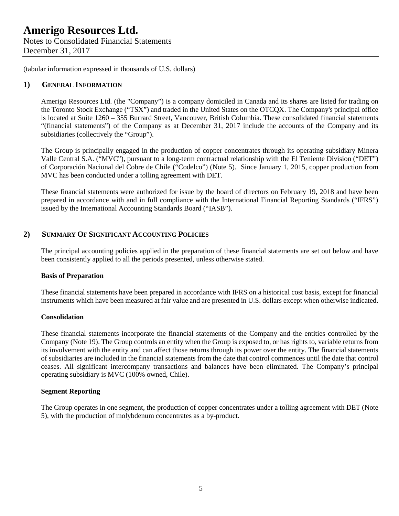Notes to Consolidated Financial Statements December 31, 2017

(tabular information expressed in thousands of U.S. dollars)

### **1) GENERAL INFORMATION**

Amerigo Resources Ltd. (the "Company") is a company domiciled in Canada and its shares are listed for trading on the Toronto Stock Exchange ("TSX") and traded in the United States on the OTCQX. The Company's principal office is located at Suite 1260 – 355 Burrard Street, Vancouver, British Columbia. These consolidated financial statements "(financial statements") of the Company as at December 31, 2017 include the accounts of the Company and its subsidiaries (collectively the "Group").

The Group is principally engaged in the production of copper concentrates through its operating subsidiary Minera Valle Central S.A. ("MVC"), pursuant to a long-term contractual relationship with the El Teniente Division ("DET") of Corporación Nacional del Cobre de Chile ("Codelco") (Note 5). Since January 1, 2015, copper production from MVC has been conducted under a tolling agreement with DET.

These financial statements were authorized for issue by the board of directors on February 19, 2018 and have been prepared in accordance with and in full compliance with the International Financial Reporting Standards ("IFRS") issued by the International Accounting Standards Board ("IASB").

### **2) SUMMARY OF SIGNIFICANT ACCOUNTING POLICIES**

The principal accounting policies applied in the preparation of these financial statements are set out below and have been consistently applied to all the periods presented, unless otherwise stated.

### **Basis of Preparation**

These financial statements have been prepared in accordance with IFRS on a historical cost basis, except for financial instruments which have been measured at fair value and are presented in U.S. dollars except when otherwise indicated.

### **Consolidation**

These financial statements incorporate the financial statements of the Company and the entities controlled by the Company (Note 19). The Group controls an entity when the Group is exposed to, or has rights to, variable returns from its involvement with the entity and can affect those returns through its power over the entity. The financial statements of subsidiaries are included in the financial statements from the date that control commences until the date that control ceases. All significant intercompany transactions and balances have been eliminated. The Company's principal operating subsidiary is MVC (100% owned, Chile).

### **Segment Reporting**

The Group operates in one segment, the production of copper concentrates under a tolling agreement with DET (Note 5), with the production of molybdenum concentrates as a by-product.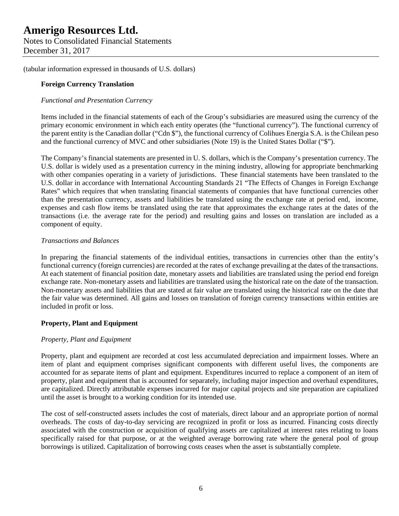Notes to Consolidated Financial Statements December 31, 2017

(tabular information expressed in thousands of U.S. dollars)

### **Foreign Currency Translation**

### *Functional and Presentation Currency*

Items included in the financial statements of each of the Group's subsidiaries are measured using the currency of the primary economic environment in which each entity operates (the "functional currency"). The functional currency of the parent entity is the Canadian dollar ("Cdn \$"), the functional currency of Colihues Energia S.A. is the Chilean peso and the functional currency of MVC and other subsidiaries (Note 19) is the United States Dollar ("\$").

The Company's financial statements are presented in U. S. dollars, which is the Company's presentation currency. The U.S. dollar is widely used as a presentation currency in the mining industry, allowing for appropriate benchmarking with other companies operating in a variety of jurisdictions. These financial statements have been translated to the U.S. dollar in accordance with International Accounting Standards 21 "The Effects of Changes in Foreign Exchange Rates" which requires that when translating financial statements of companies that have functional currencies other than the presentation currency, assets and liabilities be translated using the exchange rate at period end, income, expenses and cash flow items be translated using the rate that approximates the exchange rates at the dates of the transactions (i.e. the average rate for the period) and resulting gains and losses on translation are included as a component of equity.

### *Transactions and Balances*

In preparing the financial statements of the individual entities, transactions in currencies other than the entity's functional currency (foreign currencies) are recorded at the rates of exchange prevailing at the dates of the transactions. At each statement of financial position date, monetary assets and liabilities are translated using the period end foreign exchange rate. Non-monetary assets and liabilities are translated using the historical rate on the date of the transaction. Non-monetary assets and liabilities that are stated at fair value are translated using the historical rate on the date that the fair value was determined. All gains and losses on translation of foreign currency transactions within entities are included in profit or loss.

### **Property, Plant and Equipment**

### *Property, Plant and Equipment*

Property, plant and equipment are recorded at cost less accumulated depreciation and impairment losses. Where an item of plant and equipment comprises significant components with different useful lives, the components are accounted for as separate items of plant and equipment. Expenditures incurred to replace a component of an item of property, plant and equipment that is accounted for separately, including major inspection and overhaul expenditures, are capitalized. Directly attributable expenses incurred for major capital projects and site preparation are capitalized until the asset is brought to a working condition for its intended use.

The cost of self-constructed assets includes the cost of materials, direct labour and an appropriate portion of normal overheads. The costs of day-to-day servicing are recognized in profit or loss as incurred. Financing costs directly associated with the construction or acquisition of qualifying assets are capitalized at interest rates relating to loans specifically raised for that purpose, or at the weighted average borrowing rate where the general pool of group borrowings is utilized. Capitalization of borrowing costs ceases when the asset is substantially complete.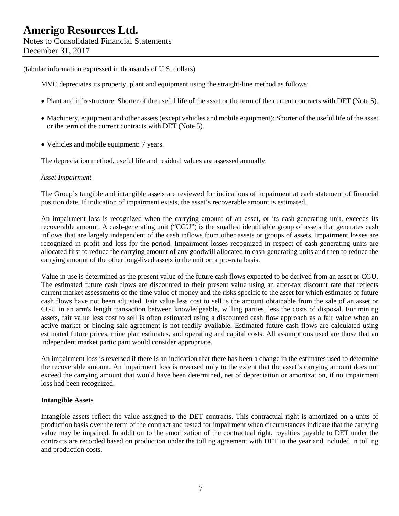MVC depreciates its property, plant and equipment using the straight-line method as follows:

- Plant and infrastructure: Shorter of the useful life of the asset or the term of the current contracts with DET (Note 5).
- Machinery, equipment and other assets (except vehicles and mobile equipment): Shorter of the useful life of the asset or the term of the current contracts with DET (Note 5).
- Vehicles and mobile equipment: 7 years.

The depreciation method, useful life and residual values are assessed annually.

### *Asset Impairment*

The Group's tangible and intangible assets are reviewed for indications of impairment at each statement of financial position date. If indication of impairment exists, the asset's recoverable amount is estimated.

An impairment loss is recognized when the carrying amount of an asset, or its cash-generating unit, exceeds its recoverable amount. A cash-generating unit ("CGU") is the smallest identifiable group of assets that generates cash inflows that are largely independent of the cash inflows from other assets or groups of assets. Impairment losses are recognized in profit and loss for the period. Impairment losses recognized in respect of cash-generating units are allocated first to reduce the carrying amount of any goodwill allocated to cash-generating units and then to reduce the carrying amount of the other long-lived assets in the unit on a pro-rata basis.

Value in use is determined as the present value of the future cash flows expected to be derived from an asset or CGU. The estimated future cash flows are discounted to their present value using an after-tax discount rate that reflects current market assessments of the time value of money and the risks specific to the asset for which estimates of future cash flows have not been adjusted. Fair value less cost to sell is the amount obtainable from the sale of an asset or CGU in an arm's length transaction between knowledgeable, willing parties, less the costs of disposal. For mining assets, fair value less cost to sell is often estimated using a discounted cash flow approach as a fair value when an active market or binding sale agreement is not readily available. Estimated future cash flows are calculated using estimated future prices, mine plan estimates, and operating and capital costs. All assumptions used are those that an independent market participant would consider appropriate.

An impairment loss is reversed if there is an indication that there has been a change in the estimates used to determine the recoverable amount. An impairment loss is reversed only to the extent that the asset's carrying amount does not exceed the carrying amount that would have been determined, net of depreciation or amortization, if no impairment loss had been recognized.

#### **Intangible Assets**

Intangible assets reflect the value assigned to the DET contracts. This contractual right is amortized on a units of production basis over the term of the contract and tested for impairment when circumstances indicate that the carrying value may be impaired. In addition to the amortization of the contractual right, royalties payable to DET under the contracts are recorded based on production under the tolling agreement with DET in the year and included in tolling and production costs.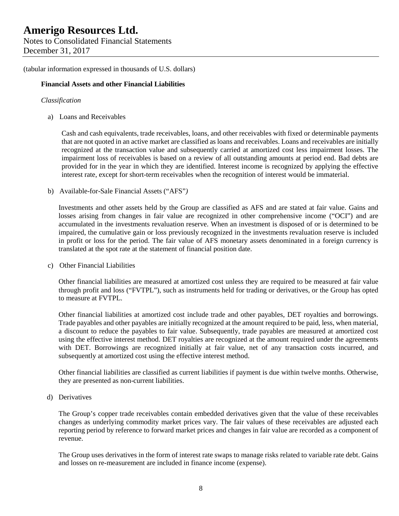### **Financial Assets and other Financial Liabilities**

### *Classification*

a) Loans and Receivables

Cash and cash equivalents, trade receivables, loans, and other receivables with fixed or determinable payments that are not quoted in an active market are classified as loans and receivables. Loans and receivables are initially recognized at the transaction value and subsequently carried at amortized cost less impairment losses. The impairment loss of receivables is based on a review of all outstanding amounts at period end. Bad debts are provided for in the year in which they are identified. Interest income is recognized by applying the effective interest rate, except for short-term receivables when the recognition of interest would be immaterial.

b) Available-for-Sale Financial Assets ("AFS"*)* 

Investments and other assets held by the Group are classified as AFS and are stated at fair value. Gains and losses arising from changes in fair value are recognized in other comprehensive income ("OCI") and are accumulated in the investments revaluation reserve. When an investment is disposed of or is determined to be impaired, the cumulative gain or loss previously recognized in the investments revaluation reserve is included in profit or loss for the period. The fair value of AFS monetary assets denominated in a foreign currency is translated at the spot rate at the statement of financial position date.

c) Other Financial Liabilities

Other financial liabilities are measured at amortized cost unless they are required to be measured at fair value through profit and loss ("FVTPL"), such as instruments held for trading or derivatives, or the Group has opted to measure at FVTPL.

Other financial liabilities at amortized cost include trade and other payables, DET royalties and borrowings. Trade payables and other payables are initially recognized at the amount required to be paid, less, when material, a discount to reduce the payables to fair value. Subsequently, trade payables are measured at amortized cost using the effective interest method. DET royalties are recognized at the amount required under the agreements with DET. Borrowings are recognized initially at fair value, net of any transaction costs incurred, and subsequently at amortized cost using the effective interest method.

Other financial liabilities are classified as current liabilities if payment is due within twelve months. Otherwise, they are presented as non-current liabilities.

d) Derivatives

The Group's copper trade receivables contain embedded derivatives given that the value of these receivables changes as underlying commodity market prices vary. The fair values of these receivables are adjusted each reporting period by reference to forward market prices and changes in fair value are recorded as a component of revenue.

The Group uses derivatives in the form of interest rate swaps to manage risks related to variable rate debt. Gains and losses on re-measurement are included in finance income (expense).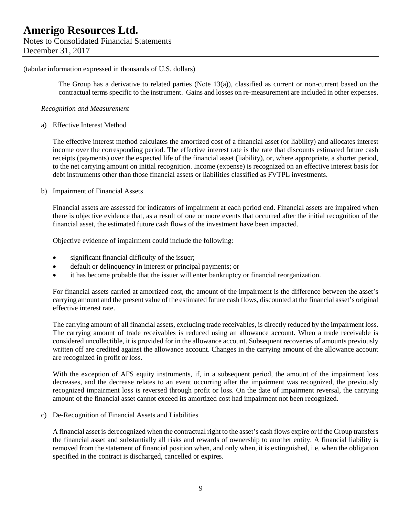The Group has a derivative to related parties (Note 13(a)), classified as current or non-current based on the contractual terms specific to the instrument. Gains and losses on re-measurement are included in other expenses.

#### *Recognition and Measurement*

a) Effective Interest Method

The effective interest method calculates the amortized cost of a financial asset (or liability) and allocates interest income over the corresponding period. The effective interest rate is the rate that discounts estimated future cash receipts (payments) over the expected life of the financial asset (liability), or, where appropriate, a shorter period, to the net carrying amount on initial recognition. Income (expense) is recognized on an effective interest basis for debt instruments other than those financial assets or liabilities classified as FVTPL investments.

### b) Impairment of Financial Assets

Financial assets are assessed for indicators of impairment at each period end. Financial assets are impaired when there is objective evidence that, as a result of one or more events that occurred after the initial recognition of the financial asset, the estimated future cash flows of the investment have been impacted.

Objective evidence of impairment could include the following:

- significant financial difficulty of the issuer;
- default or delinquency in interest or principal payments; or
- it has become probable that the issuer will enter bankruptcy or financial reorganization.

For financial assets carried at amortized cost, the amount of the impairment is the difference between the asset's carrying amount and the present value of the estimated future cash flows, discounted at the financial asset's original effective interest rate.

The carrying amount of all financial assets, excluding trade receivables, is directly reduced by the impairment loss. The carrying amount of trade receivables is reduced using an allowance account. When a trade receivable is considered uncollectible, it is provided for in the allowance account. Subsequent recoveries of amounts previously written off are credited against the allowance account. Changes in the carrying amount of the allowance account are recognized in profit or loss.

With the exception of AFS equity instruments, if, in a subsequent period, the amount of the impairment loss decreases, and the decrease relates to an event occurring after the impairment was recognized, the previously recognized impairment loss is reversed through profit or loss. On the date of impairment reversal, the carrying amount of the financial asset cannot exceed its amortized cost had impairment not been recognized.

c) De-Recognition of Financial Assets and Liabilities

A financial asset is derecognized when the contractual right to the asset's cash flows expire or if the Group transfers the financial asset and substantially all risks and rewards of ownership to another entity. A financial liability is removed from the statement of financial position when, and only when, it is extinguished, i.e. when the obligation specified in the contract is discharged, cancelled or expires.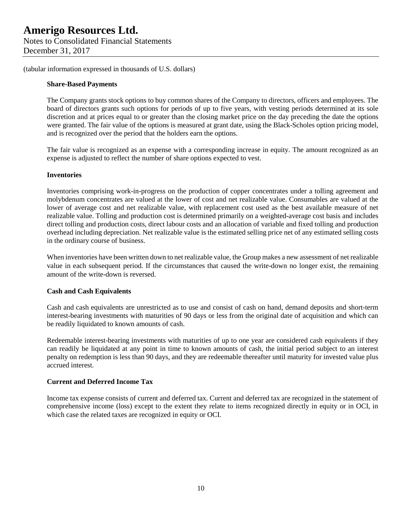Notes to Consolidated Financial Statements December 31, 2017

(tabular information expressed in thousands of U.S. dollars)

### **Share-Based Payments**

The Company grants stock options to buy common shares of the Company to directors, officers and employees. The board of directors grants such options for periods of up to five years, with vesting periods determined at its sole discretion and at prices equal to or greater than the closing market price on the day preceding the date the options were granted. The fair value of the options is measured at grant date, using the Black-Scholes option pricing model, and is recognized over the period that the holders earn the options.

The fair value is recognized as an expense with a corresponding increase in equity. The amount recognized as an expense is adjusted to reflect the number of share options expected to vest.

### **Inventories**

Inventories comprising work-in-progress on the production of copper concentrates under a tolling agreement and molybdenum concentrates are valued at the lower of cost and net realizable value. Consumables are valued at the lower of average cost and net realizable value, with replacement cost used as the best available measure of net realizable value. Tolling and production cost is determined primarily on a weighted-average cost basis and includes direct tolling and production costs, direct labour costs and an allocation of variable and fixed tolling and production overhead including depreciation. Net realizable value is the estimated selling price net of any estimated selling costs in the ordinary course of business.

When inventories have been written down to net realizable value, the Group makes a new assessment of net realizable value in each subsequent period. If the circumstances that caused the write-down no longer exist, the remaining amount of the write-down is reversed.

### **Cash and Cash Equivalents**

Cash and cash equivalents are unrestricted as to use and consist of cash on hand, demand deposits and short-term interest-bearing investments with maturities of 90 days or less from the original date of acquisition and which can be readily liquidated to known amounts of cash.

Redeemable interest-bearing investments with maturities of up to one year are considered cash equivalents if they can readily be liquidated at any point in time to known amounts of cash, the initial period subject to an interest penalty on redemption is less than 90 days, and they are redeemable thereafter until maturity for invested value plus accrued interest.

### **Current and Deferred Income Tax**

Income tax expense consists of current and deferred tax. Current and deferred tax are recognized in the statement of comprehensive income (loss) except to the extent they relate to items recognized directly in equity or in OCI, in which case the related taxes are recognized in equity or OCI.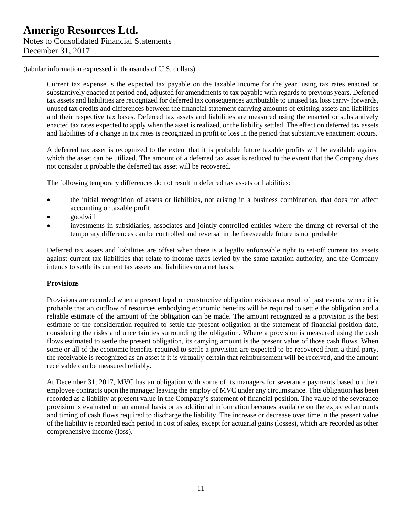Current tax expense is the expected tax payable on the taxable income for the year, using tax rates enacted or substantively enacted at period end, adjusted for amendments to tax payable with regards to previous years. Deferred tax assets and liabilities are recognized for deferred tax consequences attributable to unused tax loss carry- forwards, unused tax credits and differences between the financial statement carrying amounts of existing assets and liabilities and their respective tax bases. Deferred tax assets and liabilities are measured using the enacted or substantively enacted tax rates expected to apply when the asset is realized, or the liability settled. The effect on deferred tax assets and liabilities of a change in tax rates is recognized in profit or loss in the period that substantive enactment occurs.

A deferred tax asset is recognized to the extent that it is probable future taxable profits will be available against which the asset can be utilized. The amount of a deferred tax asset is reduced to the extent that the Company does not consider it probable the deferred tax asset will be recovered.

The following temporary differences do not result in deferred tax assets or liabilities:

- the initial recognition of assets or liabilities, not arising in a business combination, that does not affect accounting or taxable profit
- goodwill
- investments in subsidiaries, associates and jointly controlled entities where the timing of reversal of the temporary differences can be controlled and reversal in the foreseeable future is not probable

Deferred tax assets and liabilities are offset when there is a legally enforceable right to set-off current tax assets against current tax liabilities that relate to income taxes levied by the same taxation authority, and the Company intends to settle its current tax assets and liabilities on a net basis.

#### **Provisions**

Provisions are recorded when a present legal or constructive obligation exists as a result of past events, where it is probable that an outflow of resources embodying economic benefits will be required to settle the obligation and a reliable estimate of the amount of the obligation can be made. The amount recognized as a provision is the best estimate of the consideration required to settle the present obligation at the statement of financial position date, considering the risks and uncertainties surrounding the obligation. Where a provision is measured using the cash flows estimated to settle the present obligation, its carrying amount is the present value of those cash flows. When some or all of the economic benefits required to settle a provision are expected to be recovered from a third party, the receivable is recognized as an asset if it is virtually certain that reimbursement will be received, and the amount receivable can be measured reliably.

At December 31, 2017, MVC has an obligation with some of its managers for severance payments based on their employee contracts upon the manager leaving the employ of MVC under any circumstance. This obligation has been recorded as a liability at present value in the Company's statement of financial position. The value of the severance provision is evaluated on an annual basis or as additional information becomes available on the expected amounts and timing of cash flows required to discharge the liability. The increase or decrease over time in the present value of the liability is recorded each period in cost of sales, except for actuarial gains (losses), which are recorded as other comprehensive income (loss).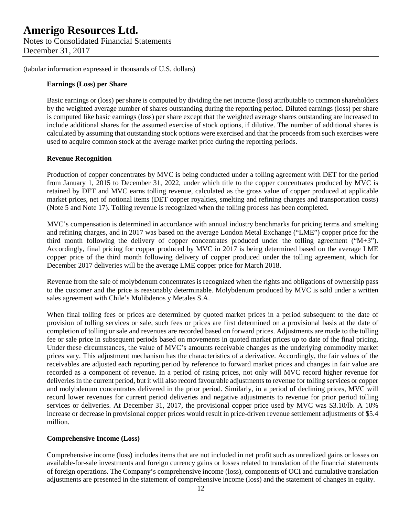Notes to Consolidated Financial Statements December 31, 2017

(tabular information expressed in thousands of U.S. dollars)

### **Earnings (Loss) per Share**

Basic earnings or (loss) per share is computed by dividing the net income (loss) attributable to common shareholders by the weighted average number of shares outstanding during the reporting period. Diluted earnings (loss) per share is computed like basic earnings (loss) per share except that the weighted average shares outstanding are increased to include additional shares for the assumed exercise of stock options, if dilutive. The number of additional shares is calculated by assuming that outstanding stock options were exercised and that the proceeds from such exercises were used to acquire common stock at the average market price during the reporting periods.

### **Revenue Recognition**

Production of copper concentrates by MVC is being conducted under a tolling agreement with DET for the period from January 1, 2015 to December 31, 2022, under which title to the copper concentrates produced by MVC is retained by DET and MVC earns tolling revenue, calculated as the gross value of copper produced at applicable market prices, net of notional items (DET copper royalties, smelting and refining charges and transportation costs) (Note 5 and Note 17). Tolling revenue is recognized when the tolling process has been completed.

MVC's compensation is determined in accordance with annual industry benchmarks for pricing terms and smelting and refining charges, and in 2017 was based on the average London Metal Exchange ("LME") copper price for the third month following the delivery of copper concentrates produced under the tolling agreement (" $M+3$ "). Accordingly, final pricing for copper produced by MVC in 2017 is being determined based on the average LME copper price of the third month following delivery of copper produced under the tolling agreement, which for December 2017 deliveries will be the average LME copper price for March 2018.

Revenue from the sale of molybdenum concentrates is recognized when the rights and obligations of ownership pass to the customer and the price is reasonably determinable. Molybdenum produced by MVC is sold under a written sales agreement with Chile's Molibdenos y Metales S.A.

When final tolling fees or prices are determined by quoted market prices in a period subsequent to the date of provision of tolling services or sale, such fees or prices are first determined on a provisional basis at the date of completion of tolling or sale and revenues are recorded based on forward prices. Adjustments are made to the tolling fee or sale price in subsequent periods based on movements in quoted market prices up to date of the final pricing. Under these circumstances, the value of MVC's amounts receivable changes as the underlying commodity market prices vary. This adjustment mechanism has the characteristics of a derivative. Accordingly, the fair values of the receivables are adjusted each reporting period by reference to forward market prices and changes in fair value are recorded as a component of revenue. In a period of rising prices, not only will MVC record higher revenue for deliveries in the current period, but it will also record favourable adjustments to revenue for tolling services or copper and molybdenum concentrates delivered in the prior period. Similarly, in a period of declining prices, MVC will record lower revenues for current period deliveries and negative adjustments to revenue for prior period tolling services or deliveries. At December 31, 2017, the provisional copper price used by MVC was \$3.10/lb. A 10% increase or decrease in provisional copper prices would result in price-driven revenue settlement adjustments of \$5.4 million.

### **Comprehensive Income (Loss)**

Comprehensive income (loss) includes items that are not included in net profit such as unrealized gains or losses on available-for-sale investments and foreign currency gains or losses related to translation of the financial statements of foreign operations. The Company's comprehensive income (loss), components of OCI and cumulative translation adjustments are presented in the statement of comprehensive income (loss) and the statement of changes in equity.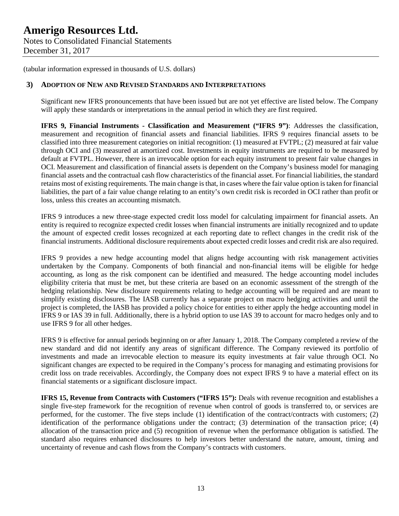### **3) ADOPTION OF NEW AND REVISED STANDARDS AND INTERPRETATIONS**

Significant new IFRS pronouncements that have been issued but are not yet effective are listed below. The Company will apply these standards or interpretations in the annual period in which they are first required.

**IFRS 9, Financial Instruments - Classification and Measurement ("IFRS 9")**: Addresses the classification, measurement and recognition of financial assets and financial liabilities. IFRS 9 requires financial assets to be classified into three measurement categories on initial recognition: (1) measured at FVTPL; (2) measured at fair value through OCI and (3) measured at amortized cost. Investments in equity instruments are required to be measured by default at FVTPL. However, there is an irrevocable option for each equity instrument to present fair value changes in OCI. Measurement and classification of financial assets is dependent on the Company's business model for managing financial assets and the contractual cash flow characteristics of the financial asset. For financial liabilities, the standard retains most of existing requirements. The main change is that, in cases where the fair value option is taken for financial liabilities, the part of a fair value change relating to an entity's own credit risk is recorded in OCI rather than profit or loss, unless this creates an accounting mismatch.

IFRS 9 introduces a new three-stage expected credit loss model for calculating impairment for financial assets. An entity is required to recognize expected credit losses when financial instruments are initially recognized and to update the amount of expected credit losses recognized at each reporting date to reflect changes in the credit risk of the financial instruments. Additional disclosure requirements about expected credit losses and credit risk are also required.

IFRS 9 provides a new hedge accounting model that aligns hedge accounting with risk management activities undertaken by the Company. Components of both financial and non-financial items will be eligible for hedge accounting, as long as the risk component can be identified and measured. The hedge accounting model includes eligibility criteria that must be met, but these criteria are based on an economic assessment of the strength of the hedging relationship. New disclosure requirements relating to hedge accounting will be required and are meant to simplify existing disclosures. The IASB currently has a separate project on macro hedging activities and until the project is completed, the IASB has provided a policy choice for entities to either apply the hedge accounting model in IFRS 9 or IAS 39 in full. Additionally, there is a hybrid option to use IAS 39 to account for macro hedges only and to use IFRS 9 for all other hedges.

IFRS 9 is effective for annual periods beginning on or after January 1, 2018. The Company completed a review of the new standard and did not identify any areas of significant difference. The Company reviewed its portfolio of investments and made an irrevocable election to measure its equity investments at fair value through OCI. No significant changes are expected to be required in the Company's process for managing and estimating provisions for credit loss on trade receivables. Accordingly, the Company does not expect IFRS 9 to have a material effect on its financial statements or a significant disclosure impact.

**IFRS 15, Revenue from Contracts with Customers ("IFRS 15"):** Deals with revenue recognition and establishes a single five-step framework for the recognition of revenue when control of goods is transferred to, or services are performed, for the customer. The five steps include (1) identification of the contract/contracts with customers; (2) identification of the performance obligations under the contract; (3) determination of the transaction price; (4) allocation of the transaction price and (5) recognition of revenue when the performance obligation is satisfied. The standard also requires enhanced disclosures to help investors better understand the nature, amount, timing and uncertainty of revenue and cash flows from the Company's contracts with customers.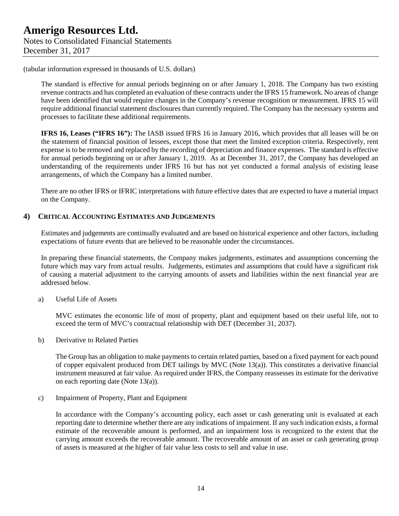The standard is effective for annual periods beginning on or after January 1, 2018. The Company has two existing revenue contracts and has completed an evaluation of these contracts under the IFRS 15 framework. No areas of change have been identified that would require changes in the Company's revenue recognition or measurement. IFRS 15 will require additional financial statement disclosures than currently required. The Company has the necessary systems and processes to facilitate these additional requirements.

**IFRS 16, Leases ("IFRS 16"):** The IASB issued IFRS 16 in January 2016, which provides that all leases will be on the statement of financial position of lessees, except those that meet the limited exception criteria. Respectively, rent expense is to be removed and replaced by the recording of depreciation and finance expenses. The standard is effective for annual periods beginning on or after January 1, 2019. As at December 31, 2017, the Company has developed an understanding of the requirements under IFRS 16 but has not yet conducted a formal analysis of existing lease arrangements, of which the Company has a limited number.

There are no other IFRS or IFRIC interpretations with future effective dates that are expected to have a material impact on the Company.

### **4) CRITICAL ACCOUNTING ESTIMATES AND JUDGEMENTS**

Estimates and judgements are continually evaluated and are based on historical experience and other factors, including expectations of future events that are believed to be reasonable under the circumstances.

In preparing these financial statements, the Company makes judgements, estimates and assumptions concerning the future which may vary from actual results. Judgements, estimates and assumptions that could have a significant risk of causing a material adjustment to the carrying amounts of assets and liabilities within the next financial year are addressed below.

a) Useful Life of Assets

MVC estimates the economic life of most of property, plant and equipment based on their useful life, not to exceed the term of MVC's contractual relationship with DET (December 31, 2037).

b) Derivative to Related Parties

The Group has an obligation to make payments to certain related parties, based on a fixed payment for each pound of copper equivalent produced from DET tailings by MVC (Note 13(a)). This constitutes a derivative financial instrument measured at fair value. As required under IFRS, the Company reassesses its estimate for the derivative on each reporting date (Note 13(a)).

c) Impairment of Property, Plant and Equipment

In accordance with the Company's accounting policy, each asset or cash generating unit is evaluated at each reporting date to determine whether there are any indications of impairment. If any such indication exists, a formal estimate of the recoverable amount is performed, and an impairment loss is recognized to the extent that the carrying amount exceeds the recoverable amount. The recoverable amount of an asset or cash generating group of assets is measured at the higher of fair value less costs to sell and value in use.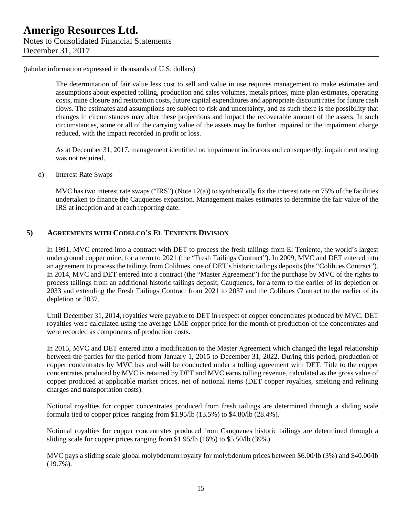The determination of fair value less cost to sell and value in use requires management to make estimates and assumptions about expected tolling, production and sales volumes, metals prices, mine plan estimates, operating costs, mine closure and restoration costs, future capital expenditures and appropriate discount rates for future cash flows. The estimates and assumptions are subject to risk and uncertainty, and as such there is the possibility that changes in circumstances may alter these projections and impact the recoverable amount of the assets. In such circumstances, some or all of the carrying value of the assets may be further impaired or the impairment charge reduced, with the impact recorded in profit or loss.

As at December 31, 2017, management identified no impairment indicators and consequently, impairment testing was not required.

d) Interest Rate Swaps

MVC has two interest rate swaps ("IRS") (Note  $12(a)$ ) to synthetically fix the interest rate on 75% of the facilities undertaken to finance the Cauquenes expansion. Management makes estimates to determine the fair value of the IRS at inception and at each reporting date.

### **5) AGREEMENTS WITH CODELCO'S EL TENIENTE DIVISION**

In 1991, MVC entered into a contract with DET to process the fresh tailings from El Teniente, the world's largest underground copper mine, for a term to 2021 (the "Fresh Tailings Contract"). In 2009, MVC and DET entered into an agreement to process the tailings from Colihues, one of DET's historic tailings deposits (the "Colihues Contract"). In 2014, MVC and DET entered into a contract (the "Master Agreement") for the purchase by MVC of the rights to process tailings from an additional historic tailings deposit, Cauquenes, for a term to the earlier of its depletion or 2033 and extending the Fresh Tailings Contract from 2021 to 2037 and the Colihues Contract to the earlier of its depletion or 2037.

Until December 31, 2014, royalties were payable to DET in respect of copper concentrates produced by MVC. DET royalties were calculated using the average LME copper price for the month of production of the concentrates and were recorded as components of production costs.

In 2015, MVC and DET entered into a modification to the Master Agreement which changed the legal relationship between the parties for the period from January 1, 2015 to December 31, 2022. During this period, production of copper concentrates by MVC has and will be conducted under a tolling agreement with DET. Title to the copper concentrates produced by MVC is retained by DET and MVC earns tolling revenue, calculated as the gross value of copper produced at applicable market prices, net of notional items (DET copper royalties, smelting and refining charges and transportation costs).

Notional royalties for copper concentrates produced from fresh tailings are determined through a sliding scale formula tied to copper prices ranging from \$1.95/lb (13.5%) to \$4.80/lb (28.4%).

Notional royalties for copper concentrates produced from Cauquenes historic tailings are determined through a sliding scale for copper prices ranging from \$1.95/lb (16%) to \$5.50/lb (39%).

MVC pays a sliding scale global molybdenum royalty for molybdenum prices between \$6.00/lb (3%) and \$40.00/lb (19.7%).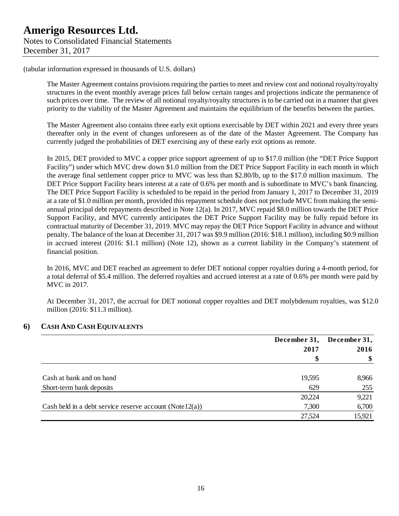The Master Agreement contains provisions requiring the parties to meet and review cost and notional royalty/royalty structures in the event monthly average prices fall below certain ranges and projections indicate the permanence of such prices over time. The review of all notional royalty/royalty structures is to be carried out in a manner that gives priority to the viability of the Master Agreement and maintains the equilibrium of the benefits between the parties.

The Master Agreement also contains three early exit options exercisable by DET within 2021 and every three years thereafter only in the event of changes unforeseen as of the date of the Master Agreement. The Company has currently judged the probabilities of DET exercising any of these early exit options as remote.

In 2015, DET provided to MVC a copper price support agreement of up to \$17.0 million (the "DET Price Support Facility") under which MVC drew down \$1.0 million from the DET Price Support Facility in each month in which the average final settlement copper price to MVC was less than \$2.80/lb, up to the \$17.0 million maximum. The DET Price Support Facility bears interest at a rate of 0.6% per month and is subordinate to MVC's bank financing. The DET Price Support Facility is scheduled to be repaid in the period from January 1, 2017 to December 31, 2019 at a rate of \$1.0 million per month, provided this repayment schedule does not preclude MVC from making the semiannual principal debt repayments described in Note 12(a). In 2017, MVC repaid \$8.0 million towards the DET Price Support Facility, and MVC currently anticipates the DET Price Support Facility may be fully repaid before its contractual maturity of December 31, 2019. MVC may repay the DET Price Support Facility in advance and without penalty. The balance of the loan at December 31, 2017 was \$9.9 million (2016: \$18.1 million), including \$0.9 million in accrued interest (2016: \$1.1 million) (Note 12), shown as a current liability in the Company's statement of financial position.

In 2016, MVC and DET reached an agreement to defer DET notional copper royalties during a 4-month period, for a total deferral of \$5.4 million. The deferred royalties and accrued interest at a rate of 0.6% per month were paid by MVC in 2017.

At December 31, 2017, the accrual for DET notional copper royalties and DET molybdenum royalties, was \$12.0 million (2016: \$11.3 million).

### **6) CASH AND CASH EQUIVALENTS**

|                                                             | December 31,<br>2017<br>\$ | December 31, |  |
|-------------------------------------------------------------|----------------------------|--------------|--|
|                                                             |                            | 2016         |  |
|                                                             |                            |              |  |
|                                                             |                            |              |  |
| Cash at bank and on hand                                    | 19,595                     | 8,966        |  |
| Short-term bank deposits                                    | 629                        | 255          |  |
|                                                             | 20,224                     | 9,221        |  |
| Cash held in a debt service reserve account (Note $12(a)$ ) | 7,300                      | 6,700        |  |
|                                                             | 27,524                     | 15,921       |  |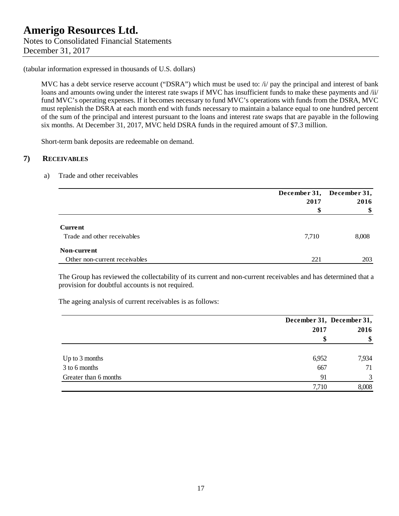MVC has a debt service reserve account ("DSRA") which must be used to: /i/ pay the principal and interest of bank loans and amounts owing under the interest rate swaps if MVC has insufficient funds to make these payments and /ii/ fund MVC's operating expenses. If it becomes necessary to fund MVC's operations with funds from the DSRA, MVC must replenish the DSRA at each month end with funds necessary to maintain a balance equal to one hundred percent of the sum of the principal and interest pursuant to the loans and interest rate swaps that are payable in the following six months. At December 31, 2017, MVC held DSRA funds in the required amount of \$7.3 million.

Short-term bank deposits are redeemable on demand.

### **7) RECEIVABLES**

### a) Trade and other receivables

|                               |       | December 31, December 31, |  |
|-------------------------------|-------|---------------------------|--|
|                               | 2017  | 2016                      |  |
|                               |       | \$                        |  |
| <b>Current</b>                |       |                           |  |
| Trade and other receivables   | 7,710 | 8,008                     |  |
| Non-current                   |       |                           |  |
| Other non-current receivables | 221   | 203                       |  |

The Group has reviewed the collectability of its current and non-current receivables and has determined that a provision for doubtful accounts is not required.

The ageing analysis of current receivables is as follows:

|                       |       | December 31, December 31, |  |
|-----------------------|-------|---------------------------|--|
|                       | 2017  | 2016                      |  |
|                       |       | \$                        |  |
| Up to 3 months        | 6,952 | 7,934                     |  |
| 3 to 6 months         | 667   | 71                        |  |
| Greater than 6 months | 91    | 3                         |  |
|                       | 7,710 | 8,008                     |  |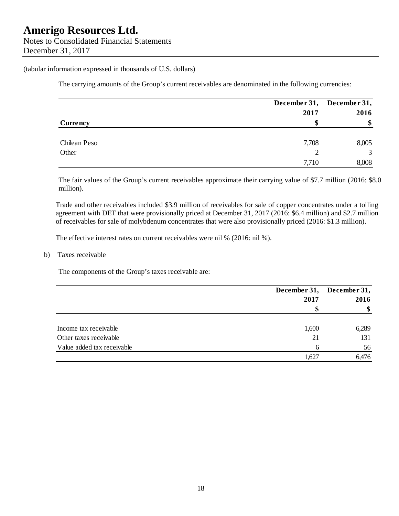The carrying amounts of the Group's current receivables are denominated in the following currencies:

|              |       | December 31, December 31, |
|--------------|-------|---------------------------|
|              | 2017  | 2016                      |
| Currency     |       | \$                        |
|              |       |                           |
| Chilean Peso | 7,708 | 8,005                     |
| Other        | ◠     | $\mathbf{c}$              |
|              | 7,710 | 8,008                     |

The fair values of the Group's current receivables approximate their carrying value of \$7.7 million (2016: \$8.0 million).

Trade and other receivables included \$3.9 million of receivables for sale of copper concentrates under a tolling agreement with DET that were provisionally priced at December 31, 2017 (2016: \$6.4 million) and \$2.7 million of receivables for sale of molybdenum concentrates that were also provisionally priced (2016: \$1.3 million).

The effective interest rates on current receivables were nil % (2016: nil %).

b) Taxes receivable

The components of the Group's taxes receivable are:

|                            |            | December 31, December 31, |  |
|----------------------------|------------|---------------------------|--|
|                            | 2017<br>\$ | 2016                      |  |
|                            |            | \$                        |  |
| Income tax receivable      | 1,600      | 6,289                     |  |
| Other taxes receivable     | 21         | 131                       |  |
| Value added tax receivable | 6          | 56                        |  |
|                            | 1,627      | 6,476                     |  |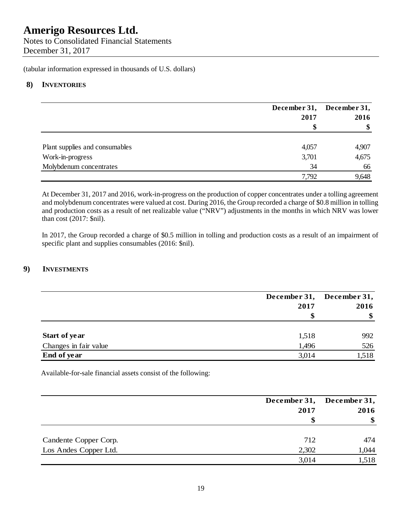Notes to Consolidated Financial Statements December 31, 2017

(tabular information expressed in thousands of U.S. dollars)

### **8) INVENTORIES**

|                                |       | December 31, December 31, |  |
|--------------------------------|-------|---------------------------|--|
|                                | 2017  | 2016<br>\$                |  |
|                                | \$    |                           |  |
| Plant supplies and consumables | 4,057 | 4,907                     |  |
| Work-in-progress               | 3,701 | 4,675                     |  |
| Molybdenum concentrates        | 34    | 66                        |  |
|                                | 7,792 | 9,648                     |  |

At December 31, 2017 and 2016, work-in-progress on the production of copper concentrates under a tolling agreement and molybdenum concentrates were valued at cost. During 2016, the Group recorded a charge of \$0.8 million in tolling and production costs as a result of net realizable value ("NRV") adjustments in the months in which NRV was lower than cost (2017: \$nil).

In 2017, the Group recorded a charge of \$0.5 million in tolling and production costs as a result of an impairment of specific plant and supplies consumables (2016: \$nil).

## **9) INVESTMENTS**

|                       | December 31,<br>2017<br>S | December 31,<br>2016 |
|-----------------------|---------------------------|----------------------|
| Start of year         | 1,518                     | 992                  |
| Changes in fair value | 1,496                     | 526                  |
| End of year           | 3,014                     | 1,518                |

Available-for-sale financial assets consist of the following:

|                       |       | December 31, December 31, |  |
|-----------------------|-------|---------------------------|--|
|                       | 2017  | 2016                      |  |
|                       | S     | \$                        |  |
| Candente Copper Corp. | 712   | 474                       |  |
| Los Andes Copper Ltd. | 2,302 | 1,044                     |  |
|                       | 3,014 | 1,518                     |  |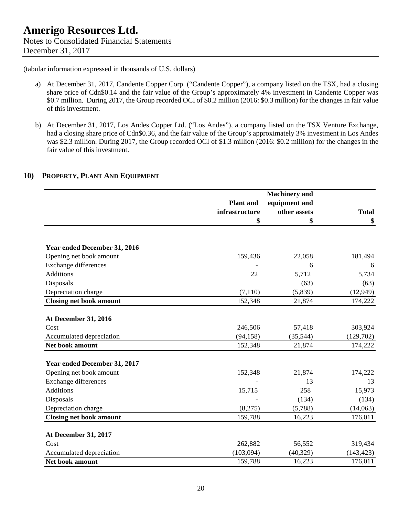- a) At December 31, 2017, Candente Copper Corp. ("Candente Copper"), a company listed on the TSX, had a closing share price of Cdn\$0.14 and the fair value of the Group's approximately 4% investment in Candente Copper was \$0.7 million. During 2017, the Group recorded OCI of \$0.2 million (2016: \$0.3 million) for the changes in fair value of this investment.
- b) At December 31, 2017, Los Andes Copper Ltd. ("Los Andes"), a company listed on the TSX Venture Exchange, had a closing share price of Cdn\$0.36, and the fair value of the Group's approximately 3% investment in Los Andes was \$2.3 million. During 2017, the Group recorded OCI of \$1.3 million (2016: \$0.2 million) for the changes in the fair value of this investment.

### **10) PROPERTY, PLANT AND EQUIPMENT**

|                                |                  | <b>Machinery</b> and |              |
|--------------------------------|------------------|----------------------|--------------|
|                                | <b>Plant</b> and | equipment and        |              |
|                                | infrastructure   | other assets         | <b>Total</b> |
|                                | \$               | \$                   | \$           |
|                                |                  |                      |              |
| Year ended December 31, 2016   |                  |                      |              |
| Opening net book amount        | 159,436          | 22,058               | 181,494      |
| Exchange differences           |                  | 6                    | 6            |
| <b>Additions</b>               | 22               | 5,712                | 5,734        |
| Disposals                      |                  | (63)                 | (63)         |
| Depreciation charge            | (7,110)          | (5,839)              | (12, 949)    |
| <b>Closing net book amount</b> | 152,348          | 21,874               | 174,222      |
|                                |                  |                      |              |
| <b>At December 31, 2016</b>    |                  |                      |              |
| Cost                           | 246,506          | 57,418               | 303,924      |
| Accumulated depreciation       | (94, 158)        | (35, 544)            | (129,702)    |
| Net book amount                | 152,348          | 21,874               | 174,222      |
| Year ended December 31, 2017   |                  |                      |              |
| Opening net book amount        | 152,348          | 21,874               | 174,222      |
| <b>Exchange differences</b>    |                  | 13                   | 13           |
| <b>Additions</b>               | 15,715           | 258                  | 15,973       |
| Disposals                      |                  | (134)                | (134)        |
| Depreciation charge            | (8,275)          | (5,788)              | (14,063)     |
| <b>Closing net book amount</b> | 159,788          | 16,223               | 176,011      |
|                                |                  |                      |              |
| At December 31, 2017           |                  |                      |              |
| Cost                           | 262,882          | 56,552               | 319,434      |
| Accumulated depreciation       | (103,094)        | (40, 329)            | (143, 423)   |
| Net book amount                | 159,788          | 16,223               | 176,011      |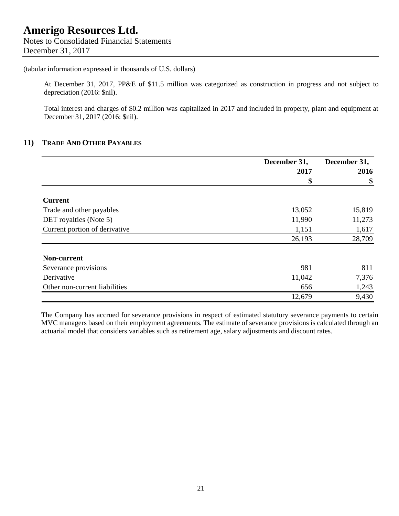Notes to Consolidated Financial Statements December 31, 2017

### (tabular information expressed in thousands of U.S. dollars)

At December 31, 2017, PP&E of \$11.5 million was categorized as construction in progress and not subject to depreciation (2016: \$nil).

Total interest and charges of \$0.2 million was capitalized in 2017 and included in property, plant and equipment at December 31, 2017 (2016: \$nil).

### **11) TRADE AND OTHER PAYABLES**

|                               | December 31, | December 31, |
|-------------------------------|--------------|--------------|
|                               | 2017         | 2016         |
|                               | \$           | \$           |
| <b>Current</b>                |              |              |
| Trade and other payables      | 13,052       | 15,819       |
| DET royalties (Note 5)        | 11,990       | 11,273       |
| Current portion of derivative | 1,151        | 1,617        |
|                               | 26,193       | 28,709       |
| Non-current                   |              |              |
| Severance provisions          | 981          | 811          |
| Derivative                    | 11,042       | 7,376        |
| Other non-current liabilities | 656          | 1,243        |
|                               | 12,679       | 9,430        |

The Company has accrued for severance provisions in respect of estimated statutory severance payments to certain MVC managers based on their employment agreements. The estimate of severance provisions is calculated through an actuarial model that considers variables such as retirement age, salary adjustments and discount rates.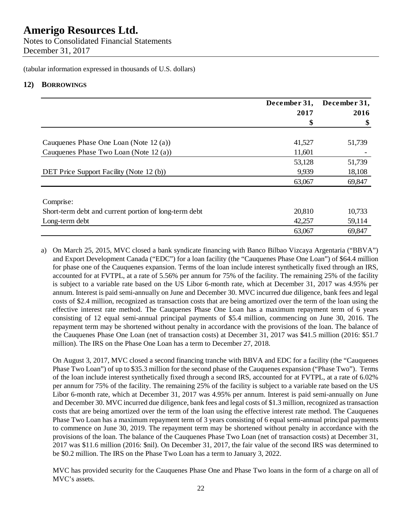Notes to Consolidated Financial Statements December 31, 2017

(tabular information expressed in thousands of U.S. dollars)

### **12) BORROWINGS**

|                                                       | December 31, | December 31, |
|-------------------------------------------------------|--------------|--------------|
|                                                       | 2017         | 2016         |
|                                                       | \$           | \$           |
| Cauquenes Phase One Loan (Note $12(a)$ )              | 41,527       | 51,739       |
| Cauquenes Phase Two Loan (Note 12 (a))                | 11,601       |              |
|                                                       | 53,128       | 51,739       |
| DET Price Support Facility (Note 12(b))               | 9,939        | 18,108       |
|                                                       | 63,067       | 69,847       |
| Comprise:                                             |              |              |
| Short-term debt and current portion of long-term debt | 20,810       | 10,733       |
| Long-term debt                                        | 42,257       | 59,114       |
|                                                       | 63,067       | 69,847       |

a) On March 25, 2015, MVC closed a bank syndicate financing with Banco Bilbao Vizcaya Argentaria ("BBVA") and Export Development Canada ("EDC") for a loan facility (the "Cauquenes Phase One Loan") of \$64.4 million for phase one of the Cauquenes expansion. Terms of the loan include interest synthetically fixed through an IRS, accounted for at FVTPL, at a rate of 5.56% per annum for 75% of the facility. The remaining 25% of the facility is subject to a variable rate based on the US Libor 6-month rate, which at December 31, 2017 was 4.95% per annum. Interest is paid semi-annually on June and December 30. MVC incurred due diligence, bank fees and legal costs of \$2.4 million, recognized as transaction costs that are being amortized over the term of the loan using the effective interest rate method. The Cauquenes Phase One Loan has a maximum repayment term of 6 years consisting of 12 equal semi-annual principal payments of \$5.4 million, commencing on June 30, 2016. The repayment term may be shortened without penalty in accordance with the provisions of the loan. The balance of the Cauquenes Phase One Loan (net of transaction costs) at December 31, 2017 was \$41.5 million (2016: \$51.7 million). The IRS on the Phase One Loan has a term to December 27, 2018.

On August 3, 2017, MVC closed a second financing tranche with BBVA and EDC for a facility (the "Cauquenes Phase Two Loan") of up to \$35.3 million for the second phase of the Cauquenes expansion ("Phase Two"). Terms of the loan include interest synthetically fixed through a second IRS, accounted for at FVTPL, at a rate of 6.02% per annum for 75% of the facility. The remaining 25% of the facility is subject to a variable rate based on the US Libor 6-month rate, which at December 31, 2017 was 4.95% per annum. Interest is paid semi-annually on June and December 30. MVC incurred due diligence, bank fees and legal costs of \$1.3 million, recognized as transaction costs that are being amortized over the term of the loan using the effective interest rate method. The Cauquenes Phase Two Loan has a maximum repayment term of 3 years consisting of 6 equal semi-annual principal payments to commence on June 30, 2019. The repayment term may be shortened without penalty in accordance with the provisions of the loan. The balance of the Cauquenes Phase Two Loan (net of transaction costs) at December 31, 2017 was \$11.6 million (2016: \$nil). On December 31, 2017, the fair value of the second IRS was determined to be \$0.2 million. The IRS on the Phase Two Loan has a term to January 3, 2022.

MVC has provided security for the Cauquenes Phase One and Phase Two loans in the form of a charge on all of MVC's assets.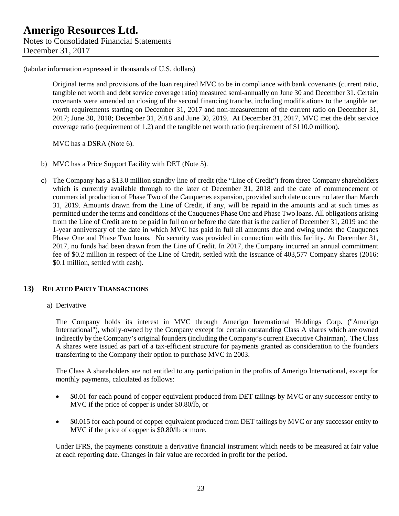Original terms and provisions of the loan required MVC to be in compliance with bank covenants (current ratio, tangible net worth and debt service coverage ratio) measured semi-annually on June 30 and December 31. Certain covenants were amended on closing of the second financing tranche, including modifications to the tangible net worth requirements starting on December 31, 2017 and non-measurement of the current ratio on December 31, 2017; June 30, 2018; December 31, 2018 and June 30, 2019. At December 31, 2017, MVC met the debt service coverage ratio (requirement of 1.2) and the tangible net worth ratio (requirement of \$110.0 million).

MVC has a DSRA (Note 6).

- b) MVC has a Price Support Facility with DET (Note 5).
- c) The Company has a \$13.0 million standby line of credit (the "Line of Credit") from three Company shareholders which is currently available through to the later of December 31, 2018 and the date of commencement of commercial production of Phase Two of the Cauquenes expansion, provided such date occurs no later than March 31, 2019. Amounts drawn from the Line of Credit, if any, will be repaid in the amounts and at such times as permitted under the terms and conditions of the Cauquenes Phase One and Phase Two loans. All obligations arising from the Line of Credit are to be paid in full on or before the date that is the earlier of December 31, 2019 and the 1-year anniversary of the date in which MVC has paid in full all amounts due and owing under the Cauquenes Phase One and Phase Two loans. No security was provided in connection with this facility. At December 31, 2017, no funds had been drawn from the Line of Credit. In 2017, the Company incurred an annual commitment fee of \$0.2 million in respect of the Line of Credit, settled with the issuance of 403,577 Company shares (2016: \$0.1 million, settled with cash).

### **13) RELATED PARTY TRANSACTIONS**

a) Derivative

The Company holds its interest in MVC through Amerigo International Holdings Corp. ("Amerigo International"), wholly-owned by the Company except for certain outstanding Class A shares which are owned indirectly by the Company's original founders (including the Company's current Executive Chairman). The Class A shares were issued as part of a tax-efficient structure for payments granted as consideration to the founders transferring to the Company their option to purchase MVC in 2003.

The Class A shareholders are not entitled to any participation in the profits of Amerigo International, except for monthly payments, calculated as follows:

- \$0.01 for each pound of copper equivalent produced from DET tailings by MVC or any successor entity to MVC if the price of copper is under \$0.80/lb, or
- \$0.015 for each pound of copper equivalent produced from DET tailings by MVC or any successor entity to MVC if the price of copper is \$0.80/lb or more.

Under IFRS, the payments constitute a derivative financial instrument which needs to be measured at fair value at each reporting date. Changes in fair value are recorded in profit for the period.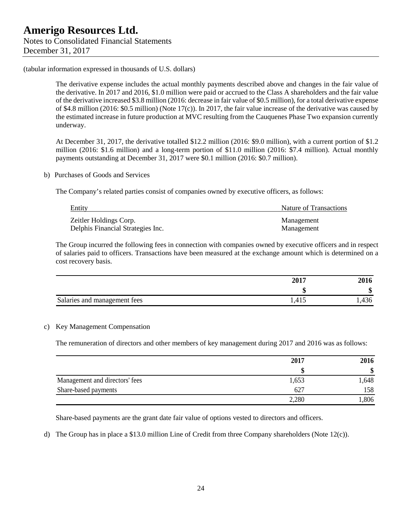The derivative expense includes the actual monthly payments described above and changes in the fair value of the derivative. In 2017 and 2016, \$1.0 million were paid or accrued to the Class A shareholders and the fair value of the derivative increased \$3.8 million (2016: decrease in fair value of \$0.5 million), for a total derivative expense of \$4.8 million (2016: \$0.5 million) (Note 17(c)). In 2017, the fair value increase of the derivative was caused by the estimated increase in future production at MVC resulting from the Cauquenes Phase Two expansion currently underway.

At December 31, 2017, the derivative totalled \$12.2 million (2016: \$9.0 million), with a current portion of \$1.2 million (2016: \$1.6 million) and a long-term portion of \$11.0 million (2016: \$7.4 million). Actual monthly payments outstanding at December 31, 2017 were \$0.1 million (2016: \$0.7 million).

#### b) Purchases of Goods and Services

The Company's related parties consist of companies owned by executive officers, as follows:

| Entity                            | Nature of Transactions |
|-----------------------------------|------------------------|
| Zeitler Holdings Corp.            | Management             |
| Delphis Financial Strategies Inc. | Management             |

The Group incurred the following fees in connection with companies owned by executive officers and in respect of salaries paid to officers. Transactions have been measured at the exchange amount which is determined on a cost recovery basis.

|                              | 2017  | 2016   |
|------------------------------|-------|--------|
|                              | w     | ₼<br>ഄ |
| Salaries and management fees | 1,415 | .,436  |

### c) Key Management Compensation

The remuneration of directors and other members of key management during 2017 and 2016 was as follows:

|                                | 2017  | 2016<br>\$ |
|--------------------------------|-------|------------|
|                                |       |            |
| Management and directors' fees | 1,653 | 1,648      |
| Share-based payments           | 627   | 158        |
|                                | 2,280 | ,806       |

Share-based payments are the grant date fair value of options vested to directors and officers.

d) The Group has in place a \$13.0 million Line of Credit from three Company shareholders (Note 12(c)).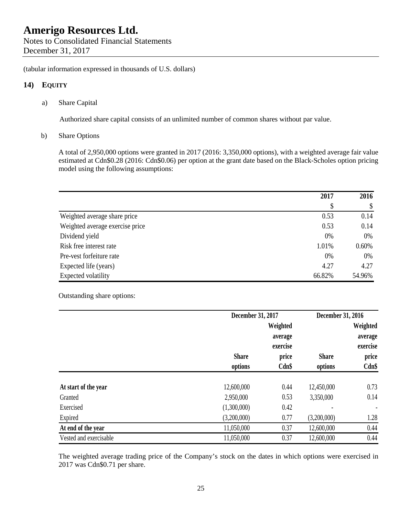Notes to Consolidated Financial Statements December 31, 2017

(tabular information expressed in thousands of U.S. dollars)

### **14) EQUITY**

a) Share Capital

Authorized share capital consists of an unlimited number of common shares without par value.

b) Share Options

A total of 2,950,000 options were granted in 2017 (2016: 3,350,000 options), with a weighted average fair value estimated at Cdn\$0.28 (2016: Cdn\$0.06) per option at the grant date based on the Black-Scholes option pricing model using the following assumptions:

|                                 | 2017   | 2016     |
|---------------------------------|--------|----------|
|                                 | \$     | \$       |
| Weighted average share price    | 0.53   | 0.14     |
| Weighted average exercise price | 0.53   | 0.14     |
| Dividend yield                  | 0%     | 0%       |
| Risk free interest rate         | 1.01%  | $0.60\%$ |
| Pre-vest forfeiture rate        | 0%     | 0%       |
| Expected life (years)           | 4.27   | 4.27     |
| Expected volatility             | 66.82% | 54.96%   |

Outstanding share options:

|                        |              | December 31, 2017   |              | December 31, 2016   |  |
|------------------------|--------------|---------------------|--------------|---------------------|--|
|                        |              | Weighted            |              | Weighted            |  |
|                        |              | average<br>exercise |              | average<br>exercise |  |
|                        | <b>Share</b> | price               | <b>Share</b> | price               |  |
|                        | options      | $Cdn$ \$            | options      | $Cdn$ \$            |  |
| At start of the year   | 12,600,000   | 0.44                | 12,450,000   | 0.73                |  |
| Granted                | 2,950,000    | 0.53                | 3,350,000    | 0.14                |  |
| Exercised              | (1,300,000)  | 0.42                |              |                     |  |
| Expired                | (3,200,000)  | 0.77                | (3,200,000)  | 1.28                |  |
| At end of the year     | 11,050,000   | 0.37                | 12,600,000   | 0.44                |  |
| Vested and exercisable | 11,050,000   | 0.37                | 12,600,000   | 0.44                |  |

The weighted average trading price of the Company's stock on the dates in which options were exercised in 2017 was Cdn\$0.71 per share.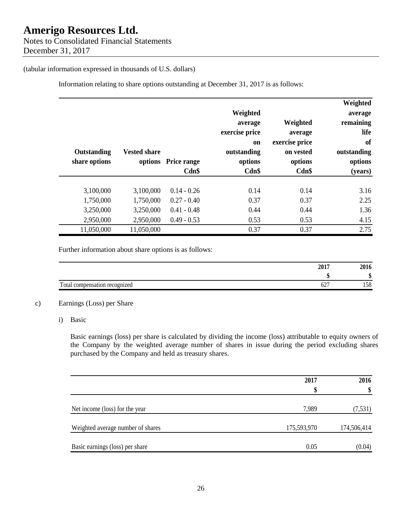Notes to Consolidated Financial Statements December 31, 2017

### (tabular information expressed in thousands of U.S. dollars)

Information relating to share options outstanding at December 31, 2017 is as follows:

| Outstanding<br>share options        | <b>Vested share</b><br>options      | <b>Price range</b><br>$Cdn$ \$                  | Weighted<br>average<br>exercise price<br><sub>on</sub><br>outstanding<br>options<br>$Cdn$ \$ | Weighted<br>average<br>exercise price<br>on vested<br>options<br>$Cdn$ \$ | Weighted<br>average<br>remaining<br>life<br>of<br>outstanding<br>options<br>(years) |
|-------------------------------------|-------------------------------------|-------------------------------------------------|----------------------------------------------------------------------------------------------|---------------------------------------------------------------------------|-------------------------------------------------------------------------------------|
| 3,100,000<br>1,750,000<br>3,250,000 | 3,100,000<br>1,750,000<br>3,250,000 | $0.14 - 0.26$<br>$0.27 - 0.40$<br>$0.41 - 0.48$ | 0.14<br>0.37<br>0.44                                                                         | 0.14<br>0.37<br>0.44                                                      | 3.16<br>2.25<br>1.36                                                                |
| 2,950,000<br>11,050,000             | 2,950,000<br>11,050,000             | $0.49 - 0.53$                                   | 0.53<br>0.37                                                                                 | 0.53<br>0.37                                                              | 4.15<br>2.75                                                                        |

Further information about share options is as follows:

|                                    | 2017        | 2016 |
|------------------------------------|-------------|------|
|                                    |             | ٨D   |
| Total<br>l compensation recognized | - - -<br>04 | 158  |

### c) Earnings (Loss) per Share

i) Basic

Basic earnings (loss) per share is calculated by dividing the income (loss) attributable to equity owners of the Company by the weighted average number of shares in issue during the period excluding shares purchased by the Company and held as treasury shares.

|                                   | 2017        | 2016        |
|-----------------------------------|-------------|-------------|
|                                   | \$          | \$          |
| Net income (loss) for the year    | 7,989       | (7,531)     |
| Weighted average number of shares | 175,593,970 | 174,506,414 |
| Basic earnings (loss) per share   | 0.05        | (0.04)      |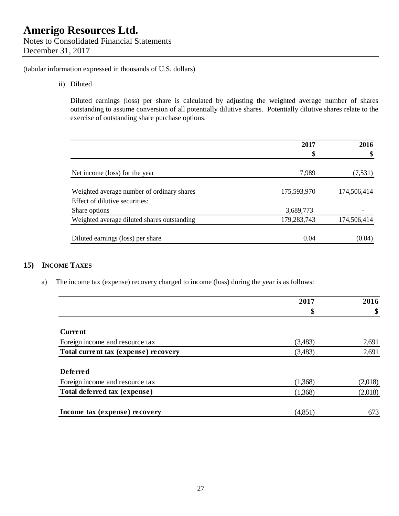Notes to Consolidated Financial Statements December 31, 2017

(tabular information expressed in thousands of U.S. dollars)

ii) Diluted

Diluted earnings (loss) per share is calculated by adjusting the weighted average number of shares outstanding to assume conversion of all potentially dilutive shares. Potentially dilutive shares relate to the exercise of outstanding share purchase options.

|                                                 | 2017        | 2016        |
|-------------------------------------------------|-------------|-------------|
|                                                 | \$          | \$          |
| Net income (loss) for the year                  | 7,989       | (7, 531)    |
| Weighted average number of ordinary shares      | 175,593,970 | 174,506,414 |
| Effect of dilutive securities:<br>Share options | 3,689,773   |             |
| Weighted average diluted shares outstanding     | 179,283,743 | 174,506,414 |
| Diluted earnings (loss) per share               | 0.04        | (0.04)      |

## **15) INCOME TAXES**

a) The income tax (expense) recovery charged to income (loss) during the year is as follows:

|                                      | 2017     | 2016    |
|--------------------------------------|----------|---------|
|                                      | \$       | \$      |
| Current                              |          |         |
|                                      |          |         |
| Foreign income and resource tax      | (3,483)  | 2,691   |
| Total current tax (expense) recovery | (3,483)  | 2,691   |
| <b>Deferred</b>                      |          |         |
| Foreign income and resource tax      | (1,368)  | (2,018) |
| Total deferred tax (expense)         | (1,368)  | (2,018) |
| Income tax (expense) recovery        | (4, 851) | 673     |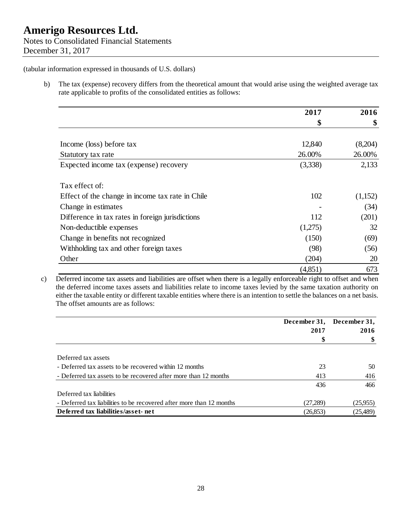b) The tax (expense) recovery differs from the theoretical amount that would arise using the weighted average tax rate applicable to profits of the consolidated entities as follows:

|                                                  | 2017    | 2016    |
|--------------------------------------------------|---------|---------|
|                                                  | \$      | \$      |
|                                                  |         |         |
| Income (loss) before tax                         | 12,840  | (8,204) |
| Statutory tax rate                               | 26.00%  | 26.00%  |
| Expected income tax (expense) recovery           | (3,338) | 2,133   |
| Tax effect of:                                   |         |         |
| Effect of the change in income tax rate in Chile | 102     | (1,152) |
| Change in estimates                              |         | (34)    |
| Difference in tax rates in foreign jurisdictions | 112     | (201)   |
| Non-deductible expenses                          | (1,275) | 32      |
| Change in benefits not recognized                | (150)   | (69)    |
| Withholding tax and other foreign taxes          | (98)    | (56)    |
| Other                                            | (204)   | 20      |
|                                                  | (4,851) | 673     |

c) Deferred income tax assets and liabilities are offset when there is a legally enforceable right to offset and when the deferred income taxes assets and liabilities relate to income taxes levied by the same taxation authority on either the taxable entity or different taxable entities where there is an intention to settle the balances on a net basis. The offset amounts are as follows:

|                                                                      | December 31, | December 31, |  |
|----------------------------------------------------------------------|--------------|--------------|--|
|                                                                      | 2017         | 2016         |  |
|                                                                      | \$           |              |  |
| Deferred tax assets                                                  |              |              |  |
| - Deferred tax assets to be recovered within 12 months               | 23           | 50           |  |
| - Deferred tax assets to be recovered after more than 12 months      | 413          | 416          |  |
|                                                                      | 436          | 466          |  |
| Deferred tax liabilities                                             |              |              |  |
| - Deferred tax liabilities to be recovered after more than 12 months | (27,289)     | (25,955)     |  |
| Deferred tax liabilities/asset-net                                   | (26, 853)    | (25, 489)    |  |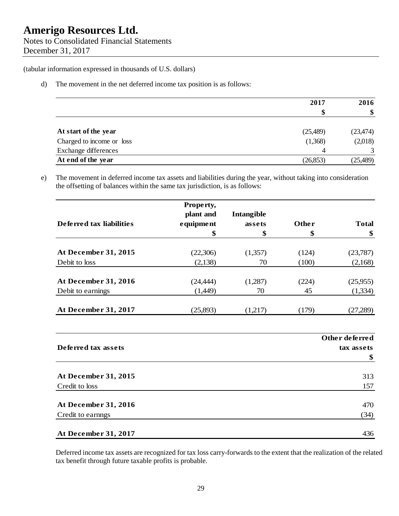## **Amerigo Resources Ltd.**  Notes to Consolidated Financial Statements December 31, 2017

(tabular information expressed in thousands of U.S. dollars)

d) The movement in the net deferred income tax position is as follows:

|                           | 2017      | 2016      |
|---------------------------|-----------|-----------|
|                           | \$        |           |
| At start of the year      | (25,489)  | (23, 474) |
| Charged to income or loss | (1,368)   | (2,018)   |
| Exchange differences      | 4         |           |
| At end of the year        | (26, 853) | (25, 489) |

e) The movement in deferred income tax assets and liabilities during the year, without taking into consideration the offsetting of balances within the same tax jurisdiction, is as follows:

|                          | Property, |            |       |                |
|--------------------------|-----------|------------|-------|----------------|
|                          | plant and | Intangible |       |                |
| Deferred tax liabilities | equipment | assets     | Other | <b>Total</b>   |
|                          | \$        | \$         | \$    | \$             |
| At December 31, 2015     | (22,306)  | (1,357)    | (124) | (23,787)       |
| Debit to loss            | (2,138)   | 70         | (100) | (2,168)        |
| At December 31, 2016     | (24, 444) | (1,287)    | (224) | (25,955)       |
| Debit to earnings        | (1,449)   | 70         | 45    | (1,334)        |
| At December 31, 2017     | (25,893)  | (1,217)    | (179) | (27,289)       |
|                          |           |            |       |                |
|                          |           |            |       | Other deferred |
| Deferred tax assets      |           |            |       | tax assets     |
|                          |           |            |       | \$             |
| At December 31, 2015     |           |            |       | 313            |
| Credit to loss           |           |            |       | 157            |
| At December 31, 2016     |           |            |       | 470            |
| Credit to earnings       |           |            |       | (34)           |
| At December 31, 2017     |           |            |       | 436            |

Deferred income tax assets are recognized for tax loss carry-forwards to the extent that the realization of the related tax benefit through future taxable profits is probable.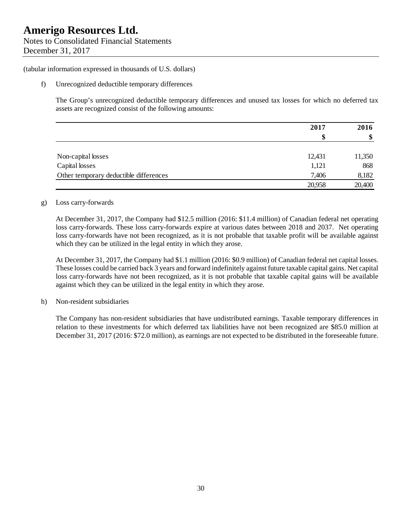Notes to Consolidated Financial Statements December 31, 2017

(tabular information expressed in thousands of U.S. dollars)

f) Unrecognized deductible temporary differences

 The Group's unrecognized deductible temporary differences and unused tax losses for which no deferred tax assets are recognized consist of the following amounts:

|                                        | 2017<br>\$ | 2016   |
|----------------------------------------|------------|--------|
|                                        |            | \$     |
|                                        |            |        |
| Non-capital losses                     | 12,431     | 11,350 |
| Capital losses                         | 1,121      | 868    |
| Other temporary deductible differences | 7,406      | 8,182  |
|                                        | 20,958     | 20,400 |

### g) Loss carry-forwards

At December 31, 2017, the Company had \$12.5 million (2016: \$11.4 million) of Canadian federal net operating loss carry-forwards. These loss carry-forwards expire at various dates between 2018 and 2037. Net operating loss carry-forwards have not been recognized, as it is not probable that taxable profit will be available against which they can be utilized in the legal entity in which they arose.

At December 31, 2017, the Company had \$1.1 million (2016: \$0.9 million) of Canadian federal net capital losses. These losses could be carried back 3 years and forward indefinitely against future taxable capital gains. Net capital loss carry-forwards have not been recognized, as it is not probable that taxable capital gains will be available against which they can be utilized in the legal entity in which they arose.

### h) Non-resident subsidiaries

The Company has non-resident subsidiaries that have undistributed earnings. Taxable temporary differences in relation to these investments for which deferred tax liabilities have not been recognized are \$85.0 million at December 31, 2017 (2016: \$72.0 million), as earnings are not expected to be distributed in the foreseeable future.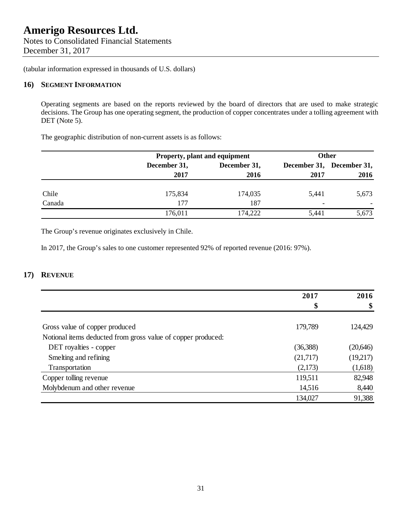Notes to Consolidated Financial Statements December 31, 2017

(tabular information expressed in thousands of U.S. dollars)

### **16) SEGMENT INFORMATION**

Operating segments are based on the reports reviewed by the board of directors that are used to make strategic decisions. The Group has one operating segment, the production of copper concentrates under a tolling agreement with DET (Note 5).

The geographic distribution of non-current assets is as follows:

|        |              | <b>Property, plant and equipment</b> |                          | Other                     |  |
|--------|--------------|--------------------------------------|--------------------------|---------------------------|--|
|        | December 31, | December 31,                         |                          | December 31, December 31, |  |
|        | 2017         | 2016                                 | 2017                     | 2016                      |  |
| Chile  | 175,834      | 174,035                              | 5,441                    | 5,673                     |  |
| Canada | 177          | 187                                  | $\overline{\phantom{0}}$ |                           |  |
|        | 176,011      | 174,222                              | 5,441                    | 5,673                     |  |

The Group's revenue originates exclusively in Chile.

In 2017, the Group's sales to one customer represented 92% of reported revenue (2016: 97%).

### **17) REVENUE**

|                                                              | 2017     | 2016      |
|--------------------------------------------------------------|----------|-----------|
|                                                              | \$       | \$        |
|                                                              |          |           |
| Gross value of copper produced                               | 179,789  | 124,429   |
| Notional items deducted from gross value of copper produced: |          |           |
| DET royalties - copper                                       | (36,388) | (20, 646) |
| Smelting and refining                                        | (21,717) | (19,217)  |
| Transportation                                               | (2,173)  | (1,618)   |
| Copper tolling revenue                                       | 119,511  | 82,948    |
| Molybdenum and other revenue                                 | 14,516   | 8,440     |
|                                                              | 134,027  | 91,388    |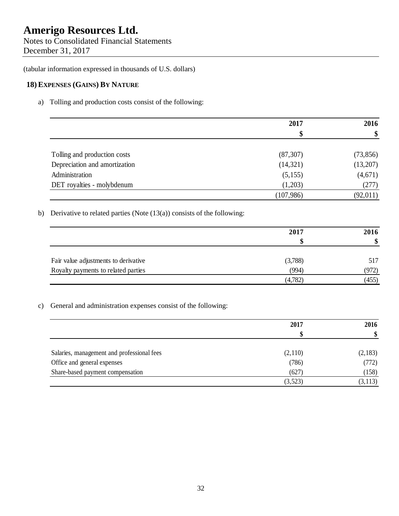Notes to Consolidated Financial Statements December 31, 2017

(tabular information expressed in thousands of U.S. dollars)

## **18) EXPENSES (GAINS) BY NATURE**

a) Tolling and production costs consist of the following:

|                               | 2017       | 2016<br>\$ |
|-------------------------------|------------|------------|
|                               | \$         |            |
| Tolling and production costs  | (87, 307)  | (73, 856)  |
| Depreciation and amortization | (14, 321)  | (13,207)   |
| Administration                | (5,155)    | (4,671)    |
| DET royalties - molybdenum    | (1,203)    | (277)      |
|                               | (107, 986) | (92, 011)  |

b) Derivative to related parties (Note  $(13(a))$  consists of the following:

|                                      | 2017    | 2016  |
|--------------------------------------|---------|-------|
|                                      | S       | \$    |
| Fair value adjustments to derivative | (3,788) | 517   |
| Royalty payments to related parties  | (994)   | (972) |
|                                      | (4,782) | (455) |

c) General and administration expenses consist of the following:

|                                            | 2017    | 2016     |
|--------------------------------------------|---------|----------|
|                                            |         | \$       |
| Salaries, management and professional fees | (2,110) | (2,183)  |
| Office and general expenses                | (786)   | (772)    |
| Share-based payment compensation           | (627)   | (158)    |
|                                            | (3,523) | (3, 113) |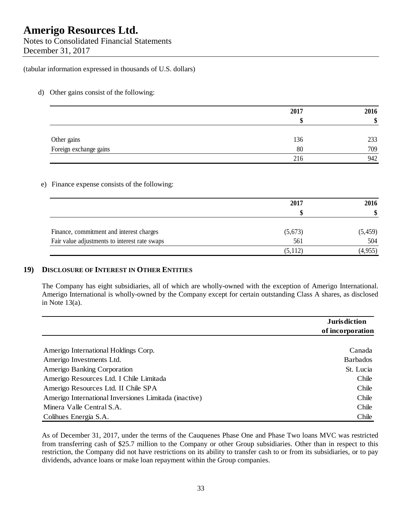Notes to Consolidated Financial Statements December 31, 2017

(tabular information expressed in thousands of U.S. dollars)

d) Other gains consist of the following:

|                        | 2017 | 2016<br>\$ |
|------------------------|------|------------|
|                        |      |            |
| Other gains            | 136  | 233        |
| Foreign exchange gains | 80   | 709        |
|                        | 216  | 942        |

### e) Finance expense consists of the following:

|                                               | 2017    | 2016     |  |
|-----------------------------------------------|---------|----------|--|
|                                               |         | \$       |  |
| Finance, commitment and interest charges      | (5,673) | (5, 459) |  |
| Fair value adjustments to interest rate swaps | 561     | 504      |  |
|                                               | (5,112) | (4,955)  |  |

### **19) DISCLOSURE OF INTEREST IN OTHER ENTITIES**

The Company has eight subsidiaries, all of which are wholly-owned with the exception of Amerigo International. Amerigo International is wholly-owned by the Company except for certain outstanding Class A shares, as disclosed in Note 13(a).

|                                                       | <b>Jurisdiction</b><br>of incorporation |
|-------------------------------------------------------|-----------------------------------------|
| Amerigo International Holdings Corp.                  | Canada                                  |
| Amerigo Investments Ltd.                              | <b>Barbados</b>                         |
| Amerigo Banking Corporation                           | St. Lucia                               |
| Amerigo Resources Ltd. I Chile Limitada               | Chile                                   |
| Amerigo Resources Ltd. II Chile SPA                   | Chile                                   |
| Amerigo International Inversiones Limitada (inactive) | Chile                                   |
| Minera Valle Central S.A.                             | Chile                                   |
| Colibues Energia S.A.                                 | Chile                                   |

As of December 31, 2017, under the terms of the Cauquenes Phase One and Phase Two loans MVC was restricted from transferring cash of \$25.7 million to the Company or other Group subsidiaries. Other than in respect to this restriction, the Company did not have restrictions on its ability to transfer cash to or from its subsidiaries, or to pay dividends, advance loans or make loan repayment within the Group companies.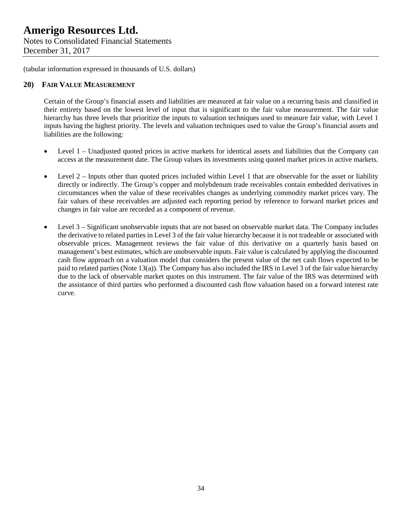Notes to Consolidated Financial Statements December 31, 2017

(tabular information expressed in thousands of U.S. dollars)

### **20) FAIR VALUE MEASUREMENT**

Certain of the Group's financial assets and liabilities are measured at fair value on a recurring basis and classified in their entirety based on the lowest level of input that is significant to the fair value measurement. The fair value hierarchy has three levels that prioritize the inputs to valuation techniques used to measure fair value, with Level 1 inputs having the highest priority. The levels and valuation techniques used to value the Group's financial assets and liabilities are the following:

- Level 1 Unadjusted quoted prices in active markets for identical assets and liabilities that the Company can access at the measurement date. The Group values its investments using quoted market prices in active markets.
- Level 2 Inputs other than quoted prices included within Level 1 that are observable for the asset or liability directly or indirectly. The Group's copper and molybdenum trade receivables contain embedded derivatives in circumstances when the value of these receivables changes as underlying commodity market prices vary. The fair values of these receivables are adjusted each reporting period by reference to forward market prices and changes in fair value are recorded as a component of revenue.
- Level 3 Significant unobservable inputs that are not based on observable market data. The Company includes the derivative to related parties in Level 3 of the fair value hierarchy because it is not tradeable or associated with observable prices. Management reviews the fair value of this derivative on a quarterly basis based on management's best estimates, which are unobservable inputs. Fair value is calculated by applying the discounted cash flow approach on a valuation model that considers the present value of the net cash flows expected to be paid to related parties (Note 13(a)). The Company has also included the IRS in Level 3 of the fair value hierarchy due to the lack of observable market quotes on this instrument. The fair value of the IRS was determined with the assistance of third parties who performed a discounted cash flow valuation based on a forward interest rate curve.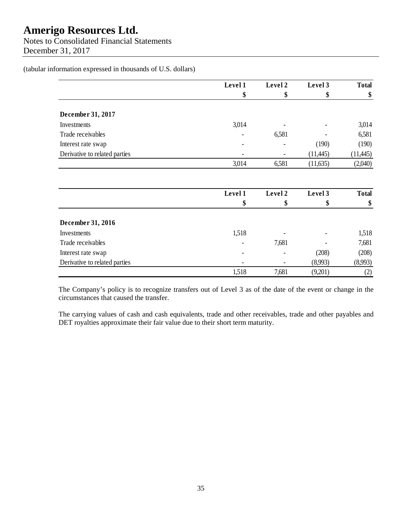Notes to Consolidated Financial Statements December 31, 2017

(tabular information expressed in thousands of U.S. dollars)

|                               | Level 1 | Level 2 | Level 3                  | <b>Total</b> |
|-------------------------------|---------|---------|--------------------------|--------------|
|                               | \$      | \$      | \$                       | \$           |
| December 31, 2017             |         |         |                          |              |
| Investments                   | 3,014   | -       | $\overline{\phantom{a}}$ | 3,014        |
| Trade receivables             |         | 6,581   | $\overline{\phantom{a}}$ | 6,581        |
| Interest rate swap            | -       | -       | (190)                    | (190)        |
| Derivative to related parties |         | ٠       | (11, 445)                | (11, 445)    |
|                               | 3,014   | 6,581   | (11,635)                 | (2,040)      |

|                               | Level 1 | Level 2 | Level 3                  | <b>Total</b> |
|-------------------------------|---------|---------|--------------------------|--------------|
|                               | \$      | \$      | φ                        | \$           |
| December 31, 2016             |         |         |                          |              |
| Investments                   | 1,518   |         | $\qquad \qquad -$        | 1,518        |
| Trade receivables             |         | 7,681   | $\overline{\phantom{a}}$ | 7,681        |
| Interest rate swap            |         | ٠       | (208)                    | (208)        |
| Derivative to related parties |         |         | (8,993)                  | (8,993)      |
|                               | 1,518   | 7,681   | (9,201)                  | $\rm(2)$     |

The Company's policy is to recognize transfers out of Level 3 as of the date of the event or change in the circumstances that caused the transfer.

The carrying values of cash and cash equivalents, trade and other receivables, trade and other payables and DET royalties approximate their fair value due to their short term maturity.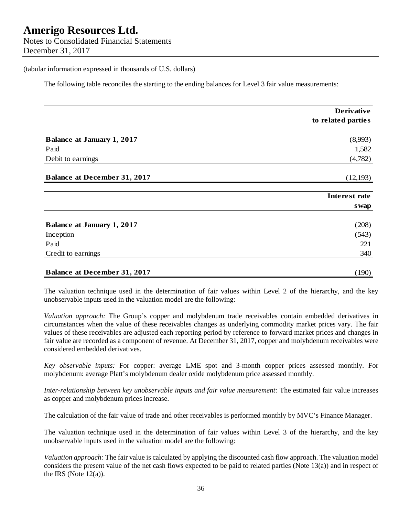Notes to Consolidated Financial Statements December 31, 2017

### (tabular information expressed in thousands of U.S. dollars)

The following table reconciles the starting to the ending balances for Level 3 fair value measurements:

|                                     | <b>Derivative</b>  |
|-------------------------------------|--------------------|
|                                     | to related parties |
| <b>Balance at January 1, 2017</b>   | (8,993)            |
| Paid                                | 1,582              |
| Debit to earnings                   | (4,782)            |
| <b>Balance at December 31, 2017</b> | (12, 193)          |
|                                     | Interest rate      |
|                                     | <b>s</b> wap       |
| <b>Balance at January 1, 2017</b>   | (208)              |
| Inception                           | (543)              |
| Paid                                | 221                |
| Credit to earnings                  | 340                |
| <b>Balance at December 31, 2017</b> | (190)              |

The valuation technique used in the determination of fair values within Level 2 of the hierarchy, and the key unobservable inputs used in the valuation model are the following:

*Valuation approach:* The Group's copper and molybdenum trade receivables contain embedded derivatives in circumstances when the value of these receivables changes as underlying commodity market prices vary. The fair values of these receivables are adjusted each reporting period by reference to forward market prices and changes in fair value are recorded as a component of revenue. At December 31, 2017, copper and molybdenum receivables were considered embedded derivatives.

*Key observable inputs:* For copper: average LME spot and 3-month copper prices assessed monthly. For molybdenum: average Platt's molybdenum dealer oxide molybdenum price assessed monthly.

*Inter-relationship between key unobservable inputs and fair value measurement:* The estimated fair value increases as copper and molybdenum prices increase.

The calculation of the fair value of trade and other receivables is performed monthly by MVC's Finance Manager.

The valuation technique used in the determination of fair values within Level 3 of the hierarchy, and the key unobservable inputs used in the valuation model are the following:

*Valuation approach:* The fair value is calculated by applying the discounted cash flow approach. The valuation model considers the present value of the net cash flows expected to be paid to related parties (Note 13(a)) and in respect of the IRS (Note  $12(a)$ ).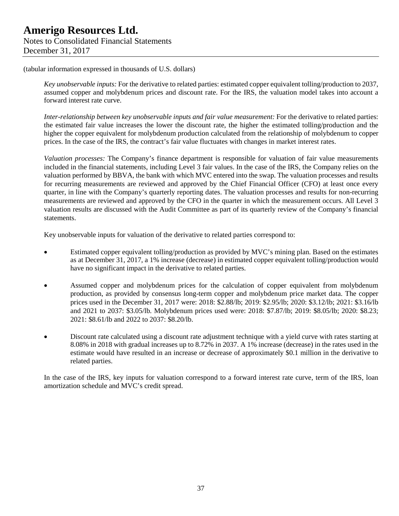*Key unobservable inputs:* For the derivative to related parties: estimated copper equivalent tolling/production to 2037, assumed copper and molybdenum prices and discount rate. For the IRS, the valuation model takes into account a forward interest rate curve.

*Inter-relationship between key unobservable inputs and fair value measurement:* For the derivative to related parties: the estimated fair value increases the lower the discount rate, the higher the estimated tolling/production and the higher the copper equivalent for molybdenum production calculated from the relationship of molybdenum to copper prices. In the case of the IRS, the contract's fair value fluctuates with changes in market interest rates.

*Valuation processes:* The Company's finance department is responsible for valuation of fair value measurements included in the financial statements, including Level 3 fair values. In the case of the IRS, the Company relies on the valuation performed by BBVA, the bank with which MVC entered into the swap. The valuation processes and results for recurring measurements are reviewed and approved by the Chief Financial Officer (CFO) at least once every quarter, in line with the Company's quarterly reporting dates. The valuation processes and results for non-recurring measurements are reviewed and approved by the CFO in the quarter in which the measurement occurs. All Level 3 valuation results are discussed with the Audit Committee as part of its quarterly review of the Company's financial statements.

Key unobservable inputs for valuation of the derivative to related parties correspond to:

- Estimated copper equivalent tolling/production as provided by MVC's mining plan. Based on the estimates as at December 31, 2017, a 1% increase (decrease) in estimated copper equivalent tolling/production would have no significant impact in the derivative to related parties.
- Assumed copper and molybdenum prices for the calculation of copper equivalent from molybdenum production, as provided by consensus long-term copper and molybdenum price market data. The copper prices used in the December 31, 2017 were: 2018: \$2.88/lb; 2019: \$2.95/lb; 2020: \$3.12/lb; 2021: \$3.16/lb and 2021 to 2037: \$3.05/lb. Molybdenum prices used were: 2018: \$7.87/lb; 2019: \$8.05/lb; 2020: \$8.23; 2021: \$8.61/lb and 2022 to 2037: \$8.20/lb.
- Discount rate calculated using a discount rate adjustment technique with a yield curve with rates starting at 8.08% in 2018 with gradual increases up to 8.72% in 2037. A 1% increase (decrease) in the rates used in the estimate would have resulted in an increase or decrease of approximately \$0.1 million in the derivative to related parties.

In the case of the IRS, key inputs for valuation correspond to a forward interest rate curve, term of the IRS, loan amortization schedule and MVC's credit spread.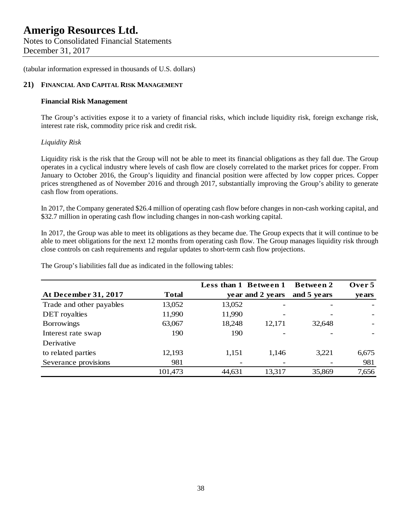Notes to Consolidated Financial Statements December 31, 2017

(tabular information expressed in thousands of U.S. dollars)

### **21) FINANCIAL AND CAPITAL RISK MANAGEMENT**

### **Financial Risk Management**

The Group's activities expose it to a variety of financial risks, which include liquidity risk, foreign exchange risk, interest rate risk, commodity price risk and credit risk.

### *Liquidity Risk*

Liquidity risk is the risk that the Group will not be able to meet its financial obligations as they fall due. The Group operates in a cyclical industry where levels of cash flow are closely correlated to the market prices for copper. From January to October 2016, the Group's liquidity and financial position were affected by low copper prices. Copper prices strengthened as of November 2016 and through 2017, substantially improving the Group's ability to generate cash flow from operations.

In 2017, the Company generated \$26.4 million of operating cash flow before changes in non-cash working capital, and \$32.7 million in operating cash flow including changes in non-cash working capital.

In 2017, the Group was able to meet its obligations as they became due. The Group expects that it will continue to be able to meet obligations for the next 12 months from operating cash flow. The Group manages liquidity risk through close controls on cash requirements and regular updates to short-term cash flow projections.

|                          |              |        | Less than 1 Between 1 | Between 2   | Over 5       |
|--------------------------|--------------|--------|-----------------------|-------------|--------------|
| At December 31, 2017     | <b>Total</b> |        | year and 2 years      | and 5 years | <b>vears</b> |
| Trade and other payables | 13,052       | 13,052 |                       |             |              |
| DET royalties            | 11,990       | 11,990 |                       |             |              |
| <b>Borrowings</b>        | 63,067       | 18,248 | 12,171                | 32,648      |              |
| Interest rate swap       | 190          | 190    |                       |             |              |
| Derivative               |              |        |                       |             |              |
| to related parties       | 12,193       | 1,151  | 1,146                 | 3,221       | 6,675        |
| Severance provisions     | 981          |        |                       |             | 981          |
|                          | 101,473      | 44,631 | 13,317                | 35,869      | 7,656        |

The Group's liabilities fall due as indicated in the following tables: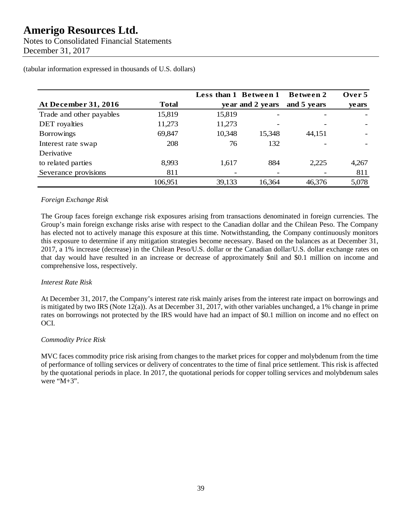Notes to Consolidated Financial Statements December 31, 2017

|                          |              | Less than 1 Between 1 |                  | Between 2   | Over 5 |
|--------------------------|--------------|-----------------------|------------------|-------------|--------|
| At December 31, 2016     | <b>Total</b> |                       | year and 2 years | and 5 years | ye ars |
| Trade and other payables | 15,819       | 15,819                |                  |             |        |
| <b>DET</b> royalties     | 11,273       | 11,273                |                  |             |        |
| <b>Borrowings</b>        | 69,847       | 10,348                | 15,348           | 44,151      |        |
| Interest rate swap       | 208          | 76                    | 132              |             |        |
| Derivative               |              |                       |                  |             |        |
| to related parties       | 8,993        | 1,617                 | 884              | 2,225       | 4,267  |
| Severance provisions     | 811          |                       |                  |             | 811    |
|                          | 106,951      | 39,133                | 16,364           | 46,376      | 5,078  |

(tabular information expressed in thousands of U.S. dollars)

### *Foreign Exchange Risk*

The Group faces foreign exchange risk exposures arising from transactions denominated in foreign currencies. The Group's main foreign exchange risks arise with respect to the Canadian dollar and the Chilean Peso. The Company has elected not to actively manage this exposure at this time. Notwithstanding, the Company continuously monitors this exposure to determine if any mitigation strategies become necessary. Based on the balances as at December 31, 2017, a 1% increase (decrease) in the Chilean Peso/U.S. dollar or the Canadian dollar/U.S. dollar exchange rates on that day would have resulted in an increase or decrease of approximately \$nil and \$0.1 million on income and comprehensive loss, respectively.

### *Interest Rate Risk*

At December 31, 2017, the Company's interest rate risk mainly arises from the interest rate impact on borrowings and is mitigated by two IRS (Note 12(a)). As at December 31, 2017, with other variables unchanged, a 1% change in prime rates on borrowings not protected by the IRS would have had an impact of \$0.1 million on income and no effect on OCI.

### *Commodity Price Risk*

MVC faces commodity price risk arising from changes to the market prices for copper and molybdenum from the time of performance of tolling services or delivery of concentrates to the time of final price settlement. This risk is affected by the quotational periods in place. In 2017, the quotational periods for copper tolling services and molybdenum sales were "M+3".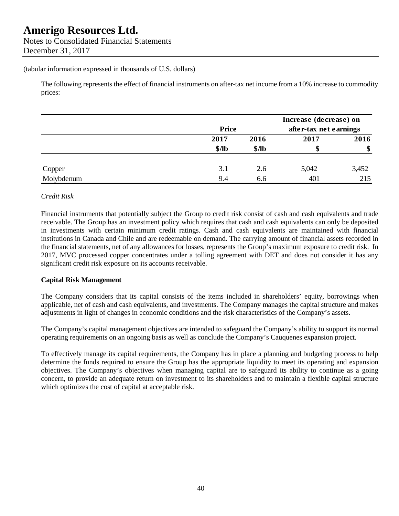The following represents the effect of financial instruments on after-tax net income from a 10% increase to commodity prices:

|            |         |              | Increase (decrease) on |                        |  |
|------------|---------|--------------|------------------------|------------------------|--|
|            |         | <b>Price</b> |                        | after-tax net earnings |  |
|            | 2017    | 2016         | 2017                   | 2016                   |  |
|            | $$$ /lb | \$/lb        | S                      | \$                     |  |
| Copper     | 3.1     | 2.6          | 5,042                  | 3,452                  |  |
| Molybdenum | 9.4     | 6.6          | 401                    | 215                    |  |

### *Credit Risk*

Financial instruments that potentially subject the Group to credit risk consist of cash and cash equivalents and trade receivable. The Group has an investment policy which requires that cash and cash equivalents can only be deposited in investments with certain minimum credit ratings. Cash and cash equivalents are maintained with financial institutions in Canada and Chile and are redeemable on demand. The carrying amount of financial assets recorded in the financial statements, net of any allowances for losses, represents the Group's maximum exposure to credit risk. In 2017, MVC processed copper concentrates under a tolling agreement with DET and does not consider it has any significant credit risk exposure on its accounts receivable.

### **Capital Risk Management**

The Company considers that its capital consists of the items included in shareholders' equity, borrowings when applicable, net of cash and cash equivalents, and investments. The Company manages the capital structure and makes adjustments in light of changes in economic conditions and the risk characteristics of the Company's assets.

The Company's capital management objectives are intended to safeguard the Company's ability to support its normal operating requirements on an ongoing basis as well as conclude the Company's Cauquenes expansion project.

To effectively manage its capital requirements, the Company has in place a planning and budgeting process to help determine the funds required to ensure the Group has the appropriate liquidity to meet its operating and expansion objectives. The Company's objectives when managing capital are to safeguard its ability to continue as a going concern, to provide an adequate return on investment to its shareholders and to maintain a flexible capital structure which optimizes the cost of capital at acceptable risk.